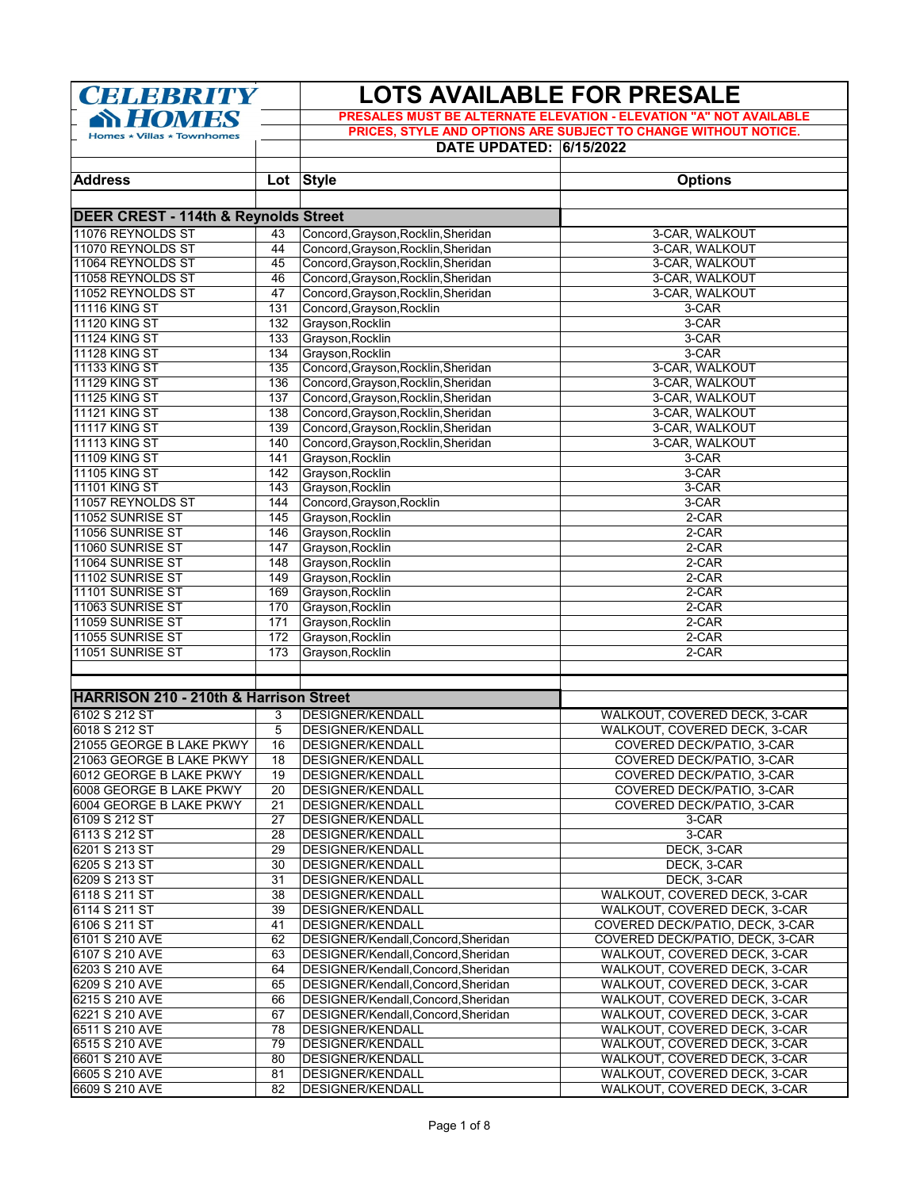| <b>CELEBRITY</b>                                          |            | <b>LOTS AVAILABLE FOR PRESALE</b>                                                                                                                                       |                                  |  |
|-----------------------------------------------------------|------------|-------------------------------------------------------------------------------------------------------------------------------------------------------------------------|----------------------------------|--|
| <b>SY HOMES</b><br>Homes $\star$ Villas $\star$ Townhomes |            | PRESALES MUST BE ALTERNATE ELEVATION - ELEVATION "A" NOT AVAILABLE<br>PRICES, STYLE AND OPTIONS ARE SUBJECT TO CHANGE WITHOUT NOTICE.<br><b>DATE UPDATED: 6/15/2022</b> |                                  |  |
| <b>Address</b>                                            |            | Lot Style                                                                                                                                                               | <b>Options</b>                   |  |
|                                                           |            |                                                                                                                                                                         |                                  |  |
| <b>DEER CREST - 114th &amp; Reynolds Street</b>           |            |                                                                                                                                                                         |                                  |  |
| 11076 REYNOLDS ST                                         | 43         | Concord, Grayson, Rocklin, Sheridan                                                                                                                                     | 3-CAR, WALKOUT                   |  |
| 11070 REYNOLDS ST                                         | 44         | Concord, Grayson, Rocklin, Sheridan                                                                                                                                     | 3-CAR, WALKOUT                   |  |
| 11064 REYNOLDS ST<br>11058 REYNOLDS ST                    | 45         | Concord, Grayson, Rocklin, Sheridan                                                                                                                                     | 3-CAR, WALKOUT<br>3-CAR, WALKOUT |  |
| 11052 REYNOLDS ST                                         | 46<br>47   | Concord, Grayson, Rocklin, Sheridan<br>Concord, Grayson, Rocklin, Sheridan                                                                                              | 3-CAR, WALKOUT                   |  |
| <b>11116 KING ST</b>                                      | 131        | Concord, Grayson, Rocklin                                                                                                                                               | 3-CAR                            |  |
| <b>11120 KING ST</b>                                      | 132        | Grayson, Rocklin                                                                                                                                                        | 3-CAR                            |  |
| <b>11124 KING ST</b>                                      | 133        | Grayson, Rocklin                                                                                                                                                        | 3-CAR                            |  |
| <b>11128 KING ST</b>                                      | 134        | Grayson, Rocklin                                                                                                                                                        | $3-CAR$                          |  |
| <b>11133 KING ST</b>                                      | 135        | Concord, Grayson, Rocklin, Sheridan                                                                                                                                     | 3-CAR, WALKOUT                   |  |
| <b>11129 KING ST</b>                                      | 136        | Concord, Grayson, Rocklin, Sheridan                                                                                                                                     | 3-CAR, WALKOUT                   |  |
| <b>11125 KING ST</b>                                      | 137        | Concord, Grayson, Rocklin, Sheridan                                                                                                                                     | 3-CAR, WALKOUT                   |  |
| <b>11121 KING ST</b>                                      | 138        | Concord, Grayson, Rocklin, Sheridan                                                                                                                                     | 3-CAR, WALKOUT                   |  |
| <b>11117 KING ST</b>                                      | 139        | Concord, Grayson, Rocklin, Sheridan                                                                                                                                     | 3-CAR, WALKOUT                   |  |
| <b>11113 KING ST</b>                                      | 140        | Concord, Grayson, Rocklin, Sheridan                                                                                                                                     | 3-CAR, WALKOUT                   |  |
| <b>11109 KING ST</b>                                      | 141        | Grayson, Rocklin                                                                                                                                                        | 3-CAR                            |  |
| <b>11105 KING ST</b>                                      | 142        | Grayson, Rocklin                                                                                                                                                        | 3-CAR                            |  |
| <b>11101 KING ST</b>                                      | 143        | Grayson, Rocklin                                                                                                                                                        | $3-CAR$                          |  |
| 11057 REYNOLDS ST                                         | 144        | Concord, Grayson, Rocklin                                                                                                                                               | 3-CAR                            |  |
| 11052 SUNRISE ST<br>11056 SUNRISE ST                      | 145<br>146 | Grayson, Rocklin                                                                                                                                                        | 2-CAR<br>2-CAR                   |  |
| 11060 SUNRISE ST                                          | 147        | Grayson, Rocklin<br>Grayson, Rocklin                                                                                                                                    | 2-CAR                            |  |
| 11064 SUNRISE ST                                          | 148        | Grayson, Rocklin                                                                                                                                                        | 2-CAR                            |  |
| 11102 SUNRISE ST                                          | 149        | Grayson, Rocklin                                                                                                                                                        | 2-CAR                            |  |
| 11101 SUNRISE ST                                          | 169        | Grayson, Rocklin                                                                                                                                                        | 2-CAR                            |  |
| 11063 SUNRISE ST                                          | 170        | Grayson, Rocklin                                                                                                                                                        | 2-CAR                            |  |
| 11059 SUNRISE ST                                          | 171        | Grayson, Rocklin                                                                                                                                                        | 2-CAR                            |  |
| 11055 SUNRISE ST                                          | 172        | Grayson, Rocklin                                                                                                                                                        | 2-CAR                            |  |
| 11051 SUNRISE ST                                          | 173        | Grayson, Rocklin                                                                                                                                                        | 2-CAR                            |  |
| <b>HARRISON 210 - 210th &amp; Harrison Street</b>         |            |                                                                                                                                                                         |                                  |  |
| 6102 S 212 ST                                             | 3          | <b>DESIGNER/KENDALL</b>                                                                                                                                                 | WALKOUT, COVERED DECK, 3-CAR     |  |
| 6018 S 212 ST                                             | 5          | <b>DESIGNER/KENDALL</b>                                                                                                                                                 | WALKOUT, COVERED DECK, 3-CAR     |  |
| 21055 GEORGE B LAKE PKWY                                  | 16         | <b>DESIGNER/KENDALL</b>                                                                                                                                                 | COVERED DECK/PATIO, 3-CAR        |  |
| 21063 GEORGE B LAKE PKWY                                  | 18         | DESIGNER/KENDALL                                                                                                                                                        | COVERED DECK/PATIO, 3-CAR        |  |
| 6012 GEORGE B LAKE PKWY                                   | 19         | <b>DESIGNER/KENDALL</b>                                                                                                                                                 | COVERED DECK/PATIO, 3-CAR        |  |
| 6008 GEORGE B LAKE PKWY                                   | 20         | <b>DESIGNER/KENDALL</b>                                                                                                                                                 | COVERED DECK/PATIO, 3-CAR        |  |
| 6004 GEORGE B LAKE PKWY                                   | 21         | <b>DESIGNER/KENDALL</b>                                                                                                                                                 | COVERED DECK/PATIO, 3-CAR        |  |
| 6109 S 212 ST                                             | 27         | <b>DESIGNER/KENDALL</b>                                                                                                                                                 | 3-CAR                            |  |
| 6113 S 212 ST                                             | 28         | <b>DESIGNER/KENDALL</b>                                                                                                                                                 | 3-CAR                            |  |
| 6201 S 213 ST                                             | 29<br>30   | <b>DESIGNER/KENDALL</b>                                                                                                                                                 | DECK, 3-CAR                      |  |
| 6205 S 213 ST<br>6209 S 213 ST                            | 31         | DESIGNER/KENDALL<br><b>DESIGNER/KENDALL</b>                                                                                                                             | DECK, 3-CAR<br>DECK, 3-CAR       |  |
| 6118 S 211 ST                                             | 38         | <b>DESIGNER/KENDALL</b>                                                                                                                                                 | WALKOUT, COVERED DECK, 3-CAR     |  |
| 6114 S 211 ST                                             | 39         | <b>DESIGNER/KENDALL</b>                                                                                                                                                 | WALKOUT, COVERED DECK, 3-CAR     |  |
| 6106 S 211 ST                                             | 41         | <b>DESIGNER/KENDALL</b>                                                                                                                                                 | COVERED DECK/PATIO, DECK, 3-CAR  |  |
| 6101 S 210 AVE                                            | 62         | DESIGNER/Kendall, Concord, Sheridan                                                                                                                                     | COVERED DECK/PATIO, DECK, 3-CAR  |  |
| 6107 S 210 AVE                                            | 63         | DESIGNER/Kendall, Concord, Sheridan                                                                                                                                     | WALKOUT, COVERED DECK, 3-CAR     |  |
| 6203 S 210 AVE                                            | 64         | DESIGNER/Kendall, Concord, Sheridan                                                                                                                                     | WALKOUT, COVERED DECK, 3-CAR     |  |
| 6209 S 210 AVE                                            | 65         | DESIGNER/Kendall, Concord, Sheridan                                                                                                                                     | WALKOUT, COVERED DECK, 3-CAR     |  |
| 6215 S 210 AVE                                            | 66         | DESIGNER/Kendall, Concord, Sheridan                                                                                                                                     | WALKOUT, COVERED DECK, 3-CAR     |  |
| 6221 S 210 AVE                                            | 67         | DESIGNER/Kendall, Concord, Sheridan                                                                                                                                     | WALKOUT, COVERED DECK, 3-CAR     |  |
| 6511 S 210 AVE                                            | 78         | DESIGNER/KENDALL                                                                                                                                                        | WALKOUT, COVERED DECK, 3-CAR     |  |
| 6515 S 210 AVE                                            | 79         | <b>DESIGNER/KENDALL</b>                                                                                                                                                 | WALKOUT, COVERED DECK, 3-CAR     |  |
| 6601 S 210 AVE                                            | 80         | DESIGNER/KENDALL                                                                                                                                                        | WALKOUT, COVERED DECK, 3-CAR     |  |
| 6605 S 210 AVE                                            | 81         | DESIGNER/KENDALL                                                                                                                                                        | WALKOUT, COVERED DECK, 3-CAR     |  |
| 6609 S 210 AVE                                            | 82         | DESIGNER/KENDALL                                                                                                                                                        | WALKOUT, COVERED DECK, 3-CAR     |  |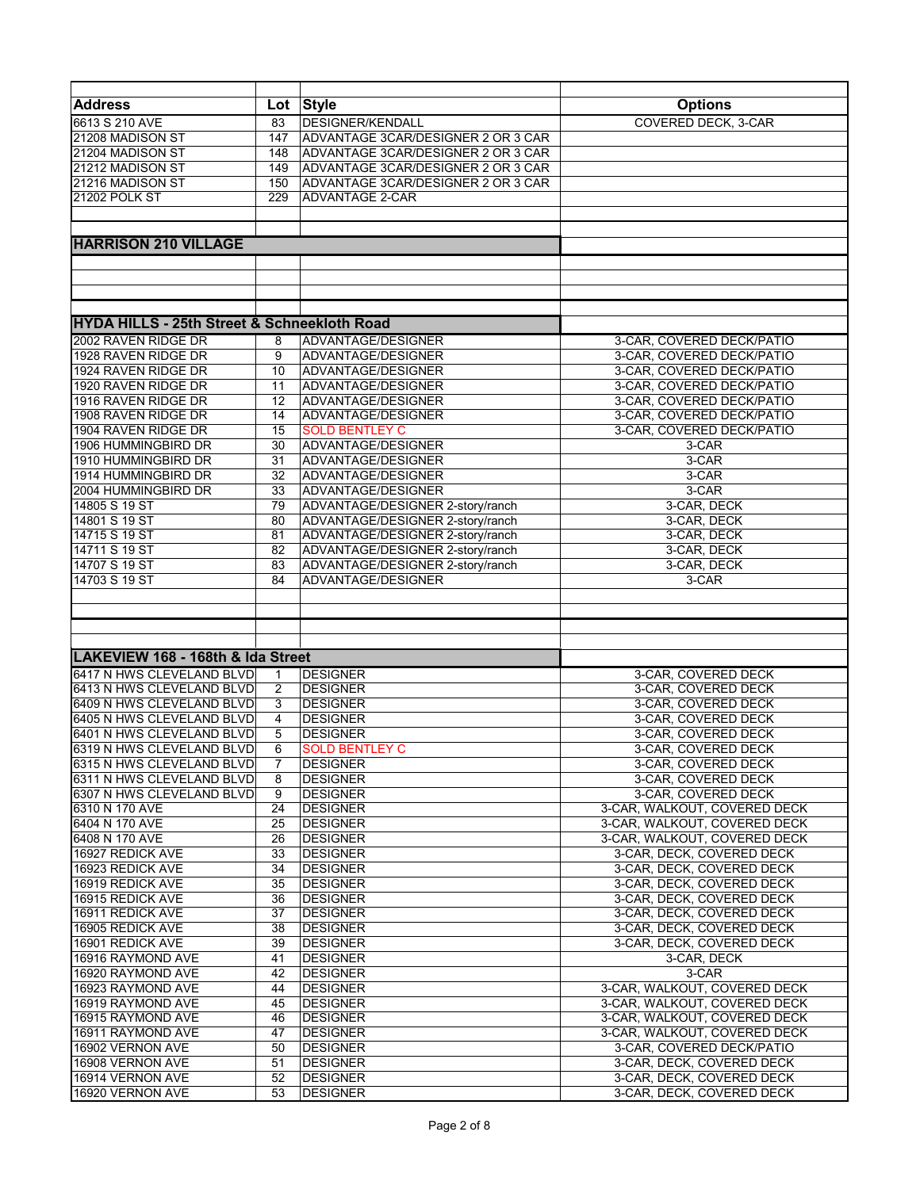| <b>Address</b>                                         | Lot             | <b>Style</b>                       | <b>Options</b>               |
|--------------------------------------------------------|-----------------|------------------------------------|------------------------------|
| 6613 S 210 AVE                                         | 83              | <b>DESIGNER/KENDALL</b>            | COVERED DECK, 3-CAR          |
|                                                        |                 |                                    |                              |
| 21208 MADISON ST                                       | 147             | ADVANTAGE 3CAR/DESIGNER 2 OR 3 CAR |                              |
| 21204 MADISON ST                                       | 148             | ADVANTAGE 3CAR/DESIGNER 2 OR 3 CAR |                              |
| 21212 MADISON ST                                       | 149             | ADVANTAGE 3CAR/DESIGNER 2 OR 3 CAR |                              |
| 21216 MADISON ST                                       | 150             | ADVANTAGE 3CAR/DESIGNER 2 OR 3 CAR |                              |
| 21202 POLK ST                                          | 229             | <b>ADVANTAGE 2-CAR</b>             |                              |
|                                                        |                 |                                    |                              |
|                                                        |                 |                                    |                              |
| <b>HARRISON 210 VILLAGE</b>                            |                 |                                    |                              |
|                                                        |                 |                                    |                              |
|                                                        |                 |                                    |                              |
|                                                        |                 |                                    |                              |
|                                                        |                 |                                    |                              |
|                                                        |                 |                                    |                              |
| <b>HYDA HILLS - 25th Street &amp; Schneekloth Road</b> |                 |                                    |                              |
| 2002 RAVEN RIDGE DR                                    | 8               | ADVANTAGE/DESIGNER                 | 3-CAR, COVERED DECK/PATIO    |
| 1928 RAVEN RIDGE DR                                    | 9               | ADVANTAGE/DESIGNER                 | 3-CAR, COVERED DECK/PATIO    |
| 1924 RAVEN RIDGE DR                                    | 10              | ADVANTAGE/DESIGNER                 | 3-CAR, COVERED DECK/PATIO    |
| 1920 RAVEN RIDGE DR                                    | 11              | ADVANTAGE/DESIGNER                 | 3-CAR, COVERED DECK/PATIO    |
| 1916 RAVEN RIDGE DR                                    | 12              | ADVANTAGE/DESIGNER                 | 3-CAR, COVERED DECK/PATIO    |
| 1908 RAVEN RIDGE DR                                    | 14              | ADVANTAGE/DESIGNER                 | 3-CAR, COVERED DECK/PATIO    |
| 1904 RAVEN RIDGE DR                                    | 15              | <b>SOLD BENTLEY C</b>              | 3-CAR, COVERED DECK/PATIO    |
| 1906 HUMMINGBIRD DR                                    | 30              | ADVANTAGE/DESIGNER                 | 3-CAR                        |
|                                                        |                 |                                    |                              |
| 1910 HUMMINGBIRD DR                                    | 31              | ADVANTAGE/DESIGNER                 | 3-CAR                        |
| 1914 HUMMINGBIRD DR                                    | $\overline{32}$ | ADVANTAGE/DESIGNER                 | 3-CAR                        |
| 2004 HUMMINGBIRD DR                                    | 33              | ADVANTAGE/DESIGNER                 | $3-CAR$                      |
| 14805 S 19 ST                                          | 79              | ADVANTAGE/DESIGNER 2-story/ranch   | 3-CAR, DECK                  |
| 14801 S 19 ST                                          | 80              | ADVANTAGE/DESIGNER 2-story/ranch   | 3-CAR, DECK                  |
| 14715 S 19 ST                                          | 81              | ADVANTAGE/DESIGNER 2-story/ranch   | 3-CAR, DECK                  |
| 14711 S 19 ST                                          | 82              | ADVANTAGE/DESIGNER 2-story/ranch   | 3-CAR, DECK                  |
| 14707 S 19 ST                                          | 83              | ADVANTAGE/DESIGNER 2-story/ranch   | 3-CAR, DECK                  |
| 14703 S 19 ST                                          | 84              | ADVANTAGE/DESIGNER                 | 3-CAR                        |
|                                                        |                 |                                    |                              |
|                                                        |                 |                                    |                              |
|                                                        |                 |                                    |                              |
|                                                        |                 |                                    |                              |
|                                                        |                 |                                    |                              |
| LAKEVIEW 168 - 168th & Ida Street                      |                 |                                    |                              |
| 6417 N HWS CLEVELAND BLVD                              | 1               | <b>DESIGNER</b>                    | 3-CAR, COVERED DECK          |
| 6413 N HWS CLEVELAND BLVD                              | 2               | <b>DESIGNER</b>                    | 3-CAR, COVERED DECK          |
| 6409 N HWS CLEVELAND BLVD                              | 3               | <b>DESIGNER</b>                    | 3-CAR, COVERED DECK          |
| 6405 N HWS CLEVELAND BLVD                              | 4               | <b>DESIGNER</b>                    | 3-CAR, COVERED DECK          |
| 6401 N HWS CLEVELAND BLVD                              | 5               | <b>DESIGNER</b>                    | 3-CAR, COVERED DECK          |
| 6319 N HWS CLEVELAND BLVD                              | 6               | <b>SOLD BENTLEY C</b>              | 3-CAR, COVERED DECK          |
| 6315 N HWS CLEVELAND BLVD                              | 7               | <b>DESIGNER</b>                    | 3-CAR, COVERED DECK          |
| 6311 N HWS CLEVELAND BLVD                              | 8               | <b>DESIGNER</b>                    | 3-CAR, COVERED DECK          |
| 6307 N HWS CLEVELAND BLVD                              |                 | <b>DESIGNER</b>                    | 3-CAR, COVERED DECK          |
| 6310 N 170 AVE                                         | 9<br>24         | <b>DESIGNER</b>                    | 3-CAR, WALKOUT, COVERED DECK |
|                                                        |                 |                                    |                              |
| 6404 N 170 AVE                                         | 25              | <b>DESIGNER</b>                    | 3-CAR, WALKOUT, COVERED DECK |
| 6408 N 170 AVE                                         | 26              | <b>DESIGNER</b>                    | 3-CAR, WALKOUT, COVERED DECK |
| 16927 REDICK AVE                                       | 33              | <b>DESIGNER</b>                    | 3-CAR, DECK, COVERED DECK    |
| 16923 REDICK AVE                                       | 34              | <b>DESIGNER</b>                    | 3-CAR, DECK, COVERED DECK    |
| 16919 REDICK AVE                                       | 35              | <b>DESIGNER</b>                    | 3-CAR, DECK, COVERED DECK    |
| 16915 REDICK AVE                                       | 36              | <b>DESIGNER</b>                    | 3-CAR, DECK, COVERED DECK    |
| 16911 REDICK AVE                                       | 37              | <b>DESIGNER</b>                    | 3-CAR, DECK, COVERED DECK    |
| 16905 REDICK AVE                                       | 38              | DESIGNER                           | 3-CAR, DECK, COVERED DECK    |
| 16901 REDICK AVE                                       | 39              | <b>DESIGNER</b>                    | 3-CAR, DECK, COVERED DECK    |
| 16916 RAYMOND AVE                                      | 41              | <b>DESIGNER</b>                    | 3-CAR, DECK                  |
| 16920 RAYMOND AVE                                      | 42              | DESIGNER                           | 3-CAR                        |
| 16923 RAYMOND AVE                                      | 44              | <b>DESIGNER</b>                    | 3-CAR, WALKOUT, COVERED DECK |
|                                                        |                 |                                    |                              |
| 16919 RAYMOND AVE                                      | 45              | <b>DESIGNER</b>                    | 3-CAR, WALKOUT, COVERED DECK |
| 16915 RAYMOND AVE                                      | 46              | <b>DESIGNER</b>                    | 3-CAR, WALKOUT, COVERED DECK |
| 16911 RAYMOND AVE                                      | 47              | <b>DESIGNER</b>                    | 3-CAR, WALKOUT, COVERED DECK |
| 16902 VERNON AVE                                       | 50              | <b>DESIGNER</b>                    | 3-CAR, COVERED DECK/PATIO    |
| 16908 VERNON AVE                                       | 51              | <b>DESIGNER</b>                    | 3-CAR, DECK, COVERED DECK    |
| 16914 VERNON AVE                                       | 52              | <b>DESIGNER</b>                    | 3-CAR, DECK, COVERED DECK    |
| 16920 VERNON AVE                                       | 53              | <b>DESIGNER</b>                    | 3-CAR, DECK, COVERED DECK    |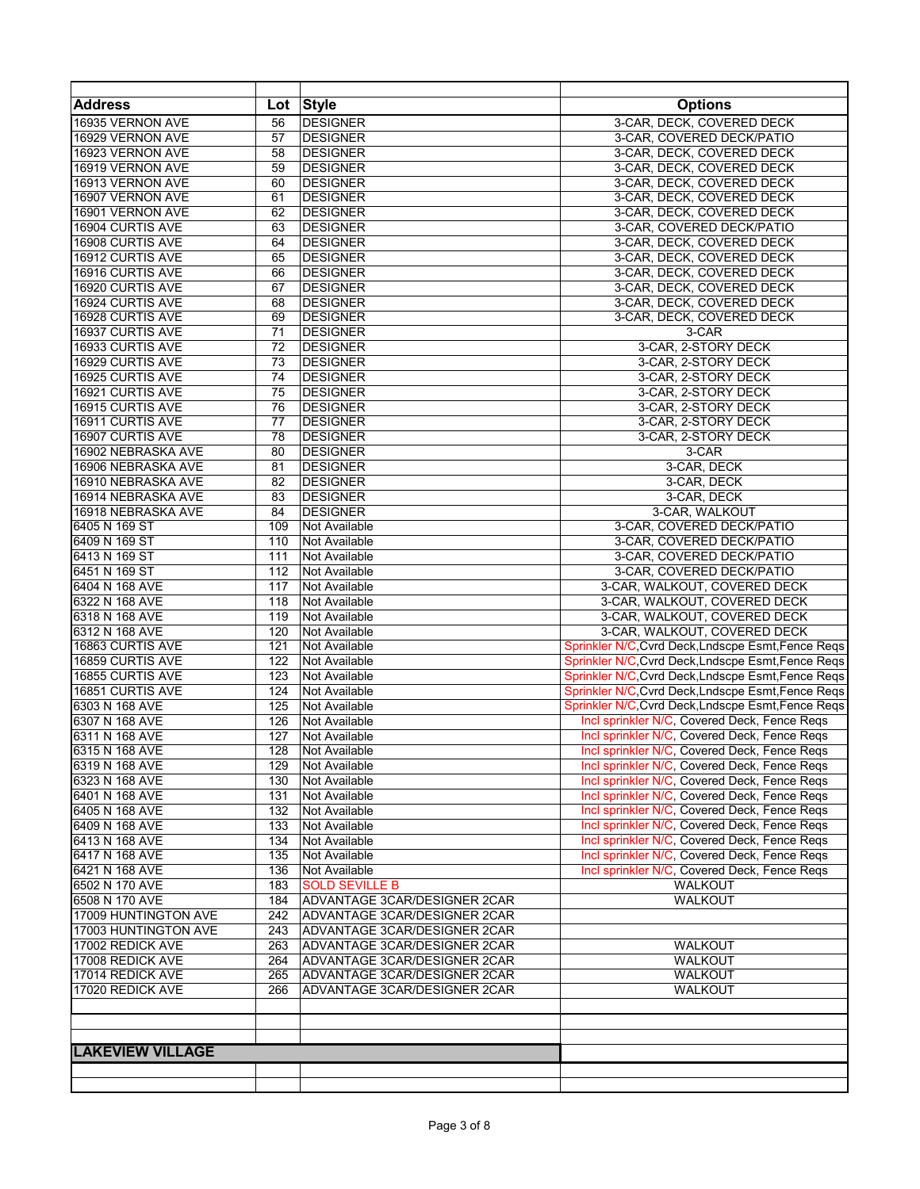| <b>Address</b>          |     | Lot Style                    | <b>Options</b>                                     |
|-------------------------|-----|------------------------------|----------------------------------------------------|
| 16935 VERNON AVE        | 56  | <b>DESIGNER</b>              | 3-CAR, DECK, COVERED DECK                          |
| 16929 VERNON AVE        | 57  | <b>DESIGNER</b>              | 3-CAR, COVERED DECK/PATIO                          |
| 16923 VERNON AVE        | 58  | <b>DESIGNER</b>              | 3-CAR, DECK, COVERED DECK                          |
| 16919 VERNON AVE        | 59  | <b>DESIGNER</b>              | 3-CAR, DECK, COVERED DECK                          |
| 16913 VERNON AVE        | 60  | <b>DESIGNER</b>              | 3-CAR, DECK, COVERED DECK                          |
| 16907 VERNON AVE        | 61  | <b>DESIGNER</b>              | 3-CAR, DECK, COVERED DECK                          |
| 16901 VERNON AVE        | 62  | <b>DESIGNER</b>              | 3-CAR, DECK, COVERED DECK                          |
| 16904 CURTIS AVE        | 63  | <b>DESIGNER</b>              | 3-CAR, COVERED DECK/PATIO                          |
| <b>16908 CURTIS AVE</b> | 64  | <b>DESIGNER</b>              | 3-CAR, DECK, COVERED DECK                          |
| 16912 CURTIS AVE        | 65  | <b>DESIGNER</b>              | 3-CAR, DECK, COVERED DECK                          |
| 16916 CURTIS AVE        | 66  | <b>DESIGNER</b>              | 3-CAR, DECK, COVERED DECK                          |
| 16920 CURTIS AVE        | 67  | <b>DESIGNER</b>              | 3-CAR, DECK, COVERED DECK                          |
| 16924 CURTIS AVE        | 68  | <b>DESIGNER</b>              | 3-CAR, DECK, COVERED DECK                          |
| 16928 CURTIS AVE        | 69  | <b>DESIGNER</b>              | 3-CAR, DECK, COVERED DECK                          |
| 16937 CURTIS AVE        | 71  | <b>DESIGNER</b>              | 3-CAR                                              |
| 16933 CURTIS AVE        | 72  | <b>DESIGNER</b>              | 3-CAR, 2-STORY DECK                                |
| 16929 CURTIS AVE        | 73  | <b>DESIGNER</b>              | 3-CAR, 2-STORY DECK                                |
| 16925 CURTIS AVE        | 74  | <b>DESIGNER</b>              |                                                    |
|                         | 75  |                              | 3-CAR, 2-STORY DECK                                |
| 16921 CURTIS AVE        |     | <b>DESIGNER</b>              | 3-CAR, 2-STORY DECK                                |
| 16915 CURTIS AVE        | 76  | <b>DESIGNER</b>              | 3-CAR, 2-STORY DECK                                |
| 16911 CURTIS AVE        | 77  | <b>DESIGNER</b>              | 3-CAR, 2-STORY DECK                                |
| 16907 CURTIS AVE        | 78  | <b>DESIGNER</b>              | 3-CAR, 2-STORY DECK                                |
| 16902 NEBRASKA AVE      | 80  | <b>DESIGNER</b>              | 3-CAR                                              |
| 16906 NEBRASKA AVE      | 81  | <b>DESIGNER</b>              | 3-CAR, DECK                                        |
| 16910 NEBRASKA AVE      | 82  | <b>DESIGNER</b>              | 3-CAR, DECK                                        |
| 16914 NEBRASKA AVE      | 83  | <b>DESIGNER</b>              | 3-CAR, DECK                                        |
| 16918 NEBRASKA AVE      | 84  | <b>DESIGNER</b>              | 3-CAR, WALKOUT                                     |
| 6405 N 169 ST           | 109 | Not Available                | 3-CAR, COVERED DECK/PATIO                          |
| 6409 N 169 ST           | 110 | Not Available                | 3-CAR, COVERED DECK/PATIO                          |
| 6413 N 169 ST           | 111 | Not Available                | 3-CAR, COVERED DECK/PATIO                          |
| 6451 N 169 ST           | 112 | Not Available                | 3-CAR, COVERED DECK/PATIO                          |
| 6404 N 168 AVE          | 117 | Not Available                | 3-CAR, WALKOUT, COVERED DECK                       |
| 6322 N 168 AVE          | 118 | Not Available                | 3-CAR, WALKOUT, COVERED DECK                       |
| 6318 N 168 AVE          | 119 | Not Available                | 3-CAR, WALKOUT, COVERED DECK                       |
| 6312 N 168 AVE          | 120 | <b>Not Available</b>         | 3-CAR, WALKOUT, COVERED DECK                       |
| 16863 CURTIS AVE        | 121 | Not Available                | Sprinkler N/C, Cvrd Deck, Lndscpe Esmt, Fence Reqs |
| 16859 CURTIS AVE        | 122 | Not Available                | Sprinkler N/C, Cvrd Deck, Lndscpe Esmt, Fence Reqs |
| 16855 CURTIS AVE        | 123 | <b>Not Available</b>         | Sprinkler N/C, Cvrd Deck, Lndscpe Esmt, Fence Reqs |
| 16851 CURTIS AVE        | 124 | Not Available                | Sprinkler N/C, Cvrd Deck, Lndscpe Esmt, Fence Reqs |
| 6303 N 168 AVE          | 125 | Not Available                | Sprinkler N/C, Cvrd Deck, Lndscpe Esmt, Fence Regs |
| 6307 N 168 AVE          | 126 | Not Available                | Incl sprinkler N/C, Covered Deck, Fence Reqs       |
| 6311 N 168 AVE          | 127 | Not Available                | Incl sprinkler N/C, Covered Deck, Fence Reqs       |
| 6315 N 168 AVE          | 128 | Not Available                | Incl sprinkler N/C, Covered Deck, Fence Reqs       |
| 6319 N 168 AVE          | 129 | <b>Not Available</b>         | Incl sprinkler N/C, Covered Deck, Fence Reqs       |
| 6323 N 168 AVE          | 130 | Not Available                | Incl sprinkler N/C, Covered Deck, Fence Reqs       |
| 6401 N 168 AVE          | 131 | Not Available                | Incl sprinkler N/C, Covered Deck, Fence Reqs       |
| 6405 N 168 AVE          | 132 | Not Available                | Incl sprinkler N/C, Covered Deck, Fence Regs       |
| 6409 N 168 AVE          | 133 | Not Available                | Incl sprinkler N/C, Covered Deck, Fence Regs       |
| 6413 N 168 AVE          | 134 | Not Available                | Incl sprinkler N/C, Covered Deck, Fence Reqs       |
| 6417 N 168 AVE          | 135 | Not Available                | Incl sprinkler N/C, Covered Deck, Fence Reqs       |
| 6421 N 168 AVE          | 136 | Not Available                | Incl sprinkler N/C, Covered Deck, Fence Regs       |
| 6502 N 170 AVE          | 183 | <b>SOLD SEVILLE B</b>        | WALKOUT                                            |
| 6508 N 170 AVE          | 184 | ADVANTAGE 3CAR/DESIGNER 2CAR | <b>WALKOUT</b>                                     |
| 17009 HUNTINGTON AVE    | 242 | ADVANTAGE 3CAR/DESIGNER 2CAR |                                                    |
| 17003 HUNTINGTON AVE    | 243 | ADVANTAGE 3CAR/DESIGNER 2CAR |                                                    |
| 17002 REDICK AVE        | 263 | ADVANTAGE 3CAR/DESIGNER 2CAR | WALKOUT                                            |
| 17008 REDICK AVE        | 264 | ADVANTAGE 3CAR/DESIGNER 2CAR | WALKOUT                                            |
| 17014 REDICK AVE        | 265 | ADVANTAGE 3CAR/DESIGNER 2CAR | WALKOUT                                            |
| 17020 REDICK AVE        | 266 | ADVANTAGE 3CAR/DESIGNER 2CAR | WALKOUT                                            |
|                         |     |                              |                                                    |
|                         |     |                              |                                                    |
|                         |     |                              |                                                    |
| <b>LAKEVIEW VILLAGE</b> |     |                              |                                                    |
|                         |     |                              |                                                    |
|                         |     |                              |                                                    |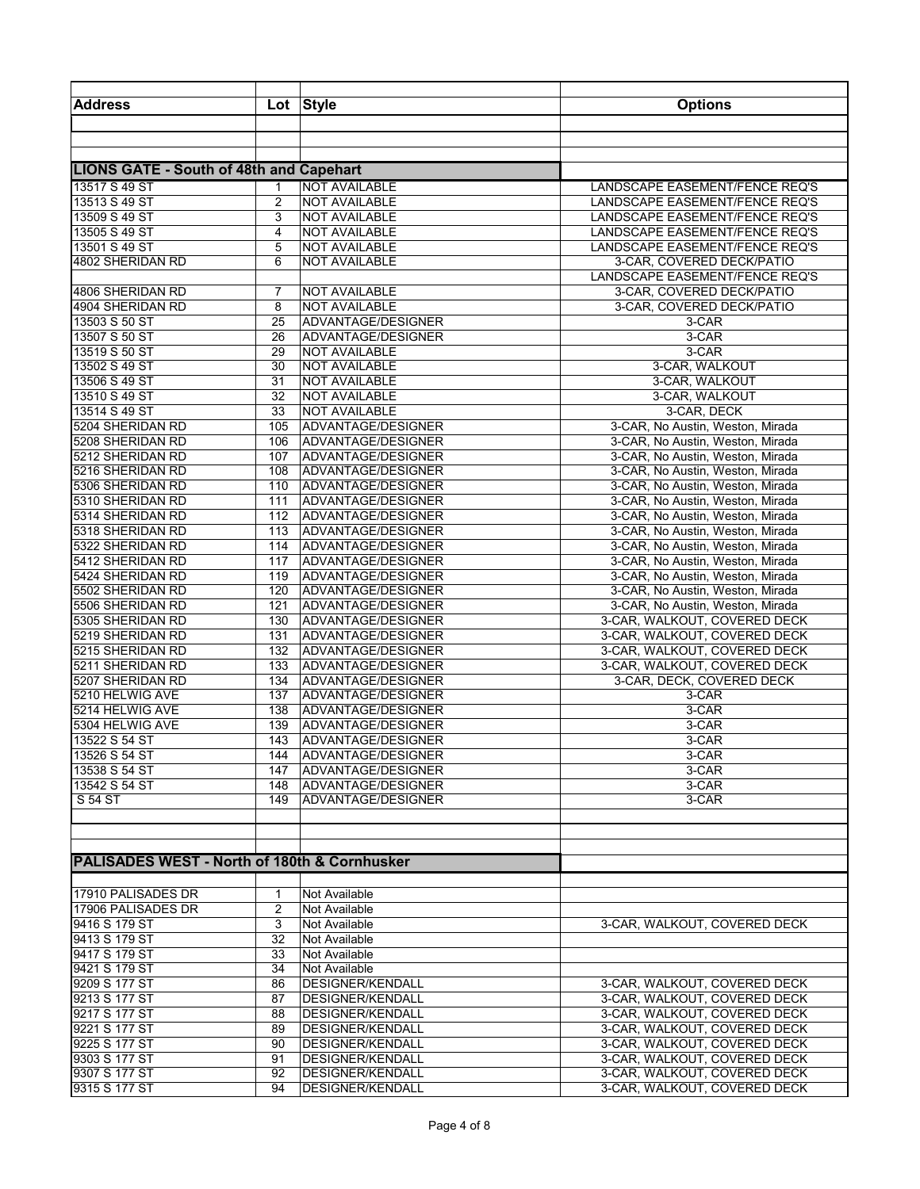| <b>Address</b>                                          |              | Lot Style                                          | <b>Options</b>                                                       |
|---------------------------------------------------------|--------------|----------------------------------------------------|----------------------------------------------------------------------|
|                                                         |              |                                                    |                                                                      |
|                                                         |              |                                                    |                                                                      |
|                                                         |              |                                                    |                                                                      |
| <b>LIONS GATE - South of 48th and Capehart</b>          |              |                                                    |                                                                      |
| 13517 S 49 ST                                           | $\mathbf{1}$ | <b>NOT AVAILABLE</b>                               | LANDSCAPE EASEMENT/FENCE REQ'S                                       |
| 13513 S 49 ST                                           | 2            | <b>NOT AVAILABLE</b>                               | LANDSCAPE EASEMENT/FENCE REQ'S                                       |
| 13509 S 49 ST<br>13505 S 49 ST                          | 3<br>4       | <b>NOT AVAILABLE</b><br><b>NOT AVAILABLE</b>       | LANDSCAPE EASEMENT/FENCE REQ'S<br>LANDSCAPE EASEMENT/FENCE REQ'S     |
| 13501 S 49 ST                                           | 5            | <b>NOT AVAILABLE</b>                               | LANDSCAPE EASEMENT/FENCE REQ'S                                       |
| 4802 SHERIDAN RD                                        | 6            | <b>NOT AVAILABLE</b>                               | 3-CAR, COVERED DECK/PATIO                                            |
|                                                         |              |                                                    | LANDSCAPE EASEMENT/FENCE REQ'S                                       |
| 4806 SHERIDAN RD                                        | 7            | <b>NOT AVAILABLE</b>                               | 3-CAR, COVERED DECK/PATIO                                            |
| 4904 SHERIDAN RD                                        | 8            | <b>NOT AVAILABLE</b>                               | 3-CAR, COVERED DECK/PATIO                                            |
| 13503 S 50 ST                                           | 25           | ADVANTAGE/DESIGNER                                 | 3-CAR                                                                |
| 13507 S 50 ST                                           | 26           | ADVANTAGE/DESIGNER                                 | 3-CAR                                                                |
| 13519 S 50 ST                                           | 29           | <b>NOT AVAILABLE</b>                               | 3-CAR                                                                |
| 13502 S 49 ST                                           | 30           | <b>NOT AVAILABLE</b>                               | 3-CAR, WALKOUT                                                       |
| 13506 S 49 ST                                           | 31           | <b>NOT AVAILABLE</b>                               | 3-CAR, WALKOUT                                                       |
| 13510 S 49 ST                                           | 32           | <b>NOT AVAILABLE</b>                               | 3-CAR, WALKOUT                                                       |
| 13514 S 49 ST                                           | 33           | <b>NOT AVAILABLE</b>                               | 3-CAR, DECK                                                          |
| 5204 SHERIDAN RD                                        | 105          | ADVANTAGE/DESIGNER                                 | 3-CAR, No Austin, Weston, Mirada                                     |
| 5208 SHERIDAN RD                                        | 106          | ADVANTAGE/DESIGNER                                 | 3-CAR, No Austin, Weston, Mirada                                     |
| 5212 SHERIDAN RD                                        | 107          | ADVANTAGE/DESIGNER                                 | 3-CAR, No Austin, Weston, Mirada                                     |
| 5216 SHERIDAN RD                                        | 108          | ADVANTAGE/DESIGNER                                 | 3-CAR, No Austin, Weston, Mirada                                     |
| 5306 SHERIDAN RD                                        | 110          | ADVANTAGE/DESIGNER                                 | 3-CAR, No Austin, Weston, Mirada                                     |
| 5310 SHERIDAN RD                                        | 111<br>112   | ADVANTAGE/DESIGNER                                 | 3-CAR, No Austin, Weston, Mirada<br>3-CAR, No Austin, Weston, Mirada |
| 5314 SHERIDAN RD<br>5318 SHERIDAN RD                    | 113          | ADVANTAGE/DESIGNER<br>ADVANTAGE/DESIGNER           | 3-CAR, No Austin, Weston, Mirada                                     |
| 5322 SHERIDAN RD                                        | 114          | ADVANTAGE/DESIGNER                                 | 3-CAR, No Austin, Weston, Mirada                                     |
| 5412 SHERIDAN RD                                        | 117          | ADVANTAGE/DESIGNER                                 | 3-CAR, No Austin, Weston, Mirada                                     |
| 5424 SHERIDAN RD                                        | 119          | ADVANTAGE/DESIGNER                                 | 3-CAR, No Austin, Weston, Mirada                                     |
| 5502 SHERIDAN RD                                        | 120          | ADVANTAGE/DESIGNER                                 | 3-CAR, No Austin, Weston, Mirada                                     |
| 5506 SHERIDAN RD                                        | 121          | ADVANTAGE/DESIGNER                                 | 3-CAR, No Austin, Weston, Mirada                                     |
| 5305 SHERIDAN RD                                        | 130          | ADVANTAGE/DESIGNER                                 | 3-CAR, WALKOUT, COVERED DECK                                         |
| 5219 SHERIDAN RD                                        | 131          | ADVANTAGE/DESIGNER                                 | 3-CAR, WALKOUT, COVERED DECK                                         |
| 5215 SHERIDAN RD                                        | 132          | ADVANTAGE/DESIGNER                                 | 3-CAR, WALKOUT, COVERED DECK                                         |
| 5211 SHERIDAN RD                                        | 133          | ADVANTAGE/DESIGNER                                 | 3-CAR, WALKOUT, COVERED DECK                                         |
| 5207 SHERIDAN RD                                        | 134          | ADVANTAGE/DESIGNER                                 | 3-CAR, DECK, COVERED DECK                                            |
| 5210 HELWIG AVE                                         | 137          | ADVANTAGE/DESIGNER                                 | 3-CAR                                                                |
| 5214 HELWIG AVE                                         | 138          | ADVANTAGE/DESIGNER                                 | 3-CAR                                                                |
| 5304 HELWIG AVE                                         | 139          | ADVANTAGE/DESIGNER                                 | 3-CAR                                                                |
| 13522 S 54 ST                                           | 143          | ADVANTAGE/DESIGNER                                 | 3-CAR                                                                |
| 13526 S 54 ST<br>13538 S 54 ST                          |              | 144 ADVANTAGE/DESIGNER<br>147 ADVANTAGE/DESIGNER   | 3-CAR                                                                |
| 13542 S 54 ST                                           |              | 148 ADVANTAGE/DESIGNER                             | 3-CAR<br>3-CAR                                                       |
| S 54 ST                                                 |              | 149 ADVANTAGE/DESIGNER                             | 3-CAR                                                                |
|                                                         |              |                                                    |                                                                      |
|                                                         |              |                                                    |                                                                      |
|                                                         |              |                                                    |                                                                      |
| <b>PALISADES WEST - North of 180th &amp; Cornhusker</b> |              |                                                    |                                                                      |
|                                                         |              |                                                    |                                                                      |
| 17910 PALISADES DR                                      | 1            | Not Available                                      |                                                                      |
| 17906 PALISADES DR                                      | 2            | Not Available                                      |                                                                      |
| 9416 S 179 ST                                           | 3            | Not Available                                      | 3-CAR, WALKOUT, COVERED DECK                                         |
| 9413 S 179 ST                                           | 32           | Not Available                                      |                                                                      |
| 9417 S 179 ST                                           | 33           | Not Available                                      |                                                                      |
| 9421 S 179 ST                                           | 34           | Not Available                                      |                                                                      |
| 9209 S 177 ST                                           | 86           | DESIGNER/KENDALL                                   | 3-CAR, WALKOUT, COVERED DECK                                         |
| 9213 S 177 ST                                           | 87           | DESIGNER/KENDALL                                   | 3-CAR, WALKOUT, COVERED DECK                                         |
| 9217 S 177 ST                                           | 88           | <b>DESIGNER/KENDALL</b>                            | 3-CAR, WALKOUT, COVERED DECK                                         |
| 9221 S 177 ST                                           | 89           | <b>DESIGNER/KENDALL</b>                            | 3-CAR, WALKOUT, COVERED DECK                                         |
| 9225 S 177 ST<br>9303 S 177 ST                          | 90<br>91     | <b>DESIGNER/KENDALL</b><br><b>DESIGNER/KENDALL</b> | 3-CAR, WALKOUT, COVERED DECK<br>3-CAR, WALKOUT, COVERED DECK         |
| 9307 S 177 ST                                           | 92           | <b>DESIGNER/KENDALL</b>                            | 3-CAR, WALKOUT, COVERED DECK                                         |
| 9315 S 177 ST                                           | 94           | DESIGNER/KENDALL                                   | 3-CAR, WALKOUT, COVERED DECK                                         |
|                                                         |              |                                                    |                                                                      |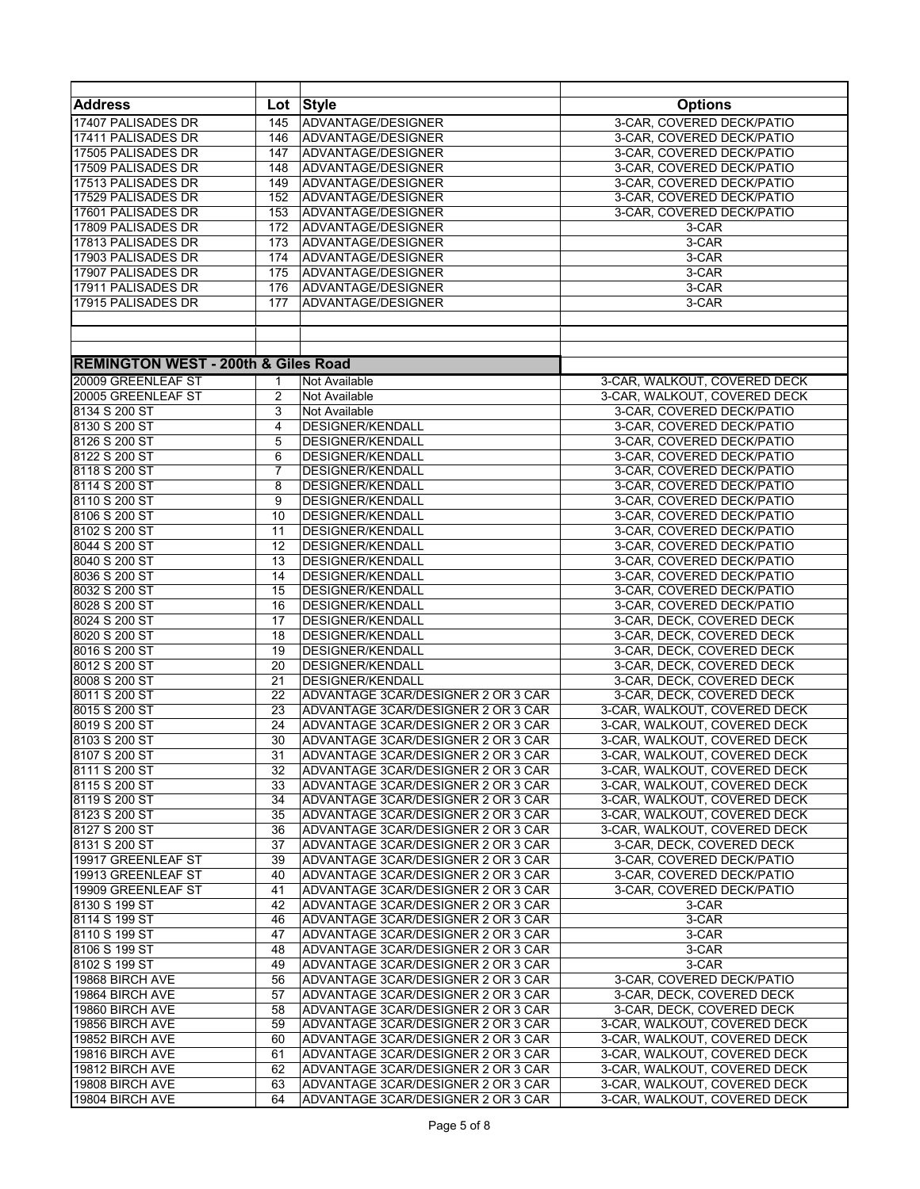| Lot Style<br><b>Options</b><br>17407 PALISADES DR<br>ADVANTAGE/DESIGNER<br>3-CAR, COVERED DECK/PATIO<br>145<br>17411 PALISADES DR<br>ADVANTAGE/DESIGNER<br>3-CAR. COVERED DECK/PATIO<br>146<br>17505 PALISADES DR<br>ADVANTAGE/DESIGNER<br>3-CAR, COVERED DECK/PATIO<br>147<br>17509 PALISADES DR<br>ADVANTAGE/DESIGNER<br>3-CAR, COVERED DECK/PATIO<br>148<br>ADVANTAGE/DESIGNER<br>3-CAR, COVERED DECK/PATIO<br>149<br>17529 PALISADES DR<br>152<br>ADVANTAGE/DESIGNER<br>3-CAR, COVERED DECK/PATIO<br>17601 PALISADES DR<br>153<br>ADVANTAGE/DESIGNER<br>3-CAR, COVERED DECK/PATIO<br>17809 PALISADES DR<br>ADVANTAGE/DESIGNER<br>172<br>3-CAR<br>17813 PALISADES DR<br>3-CAR<br>ADVANTAGE/DESIGNER<br>173<br>17903 PALISADES DR<br>ADVANTAGE/DESIGNER<br>3-CAR<br>174<br>17907 PALISADES DR<br>ADVANTAGE/DESIGNER<br>3-CAR<br>175<br>17911 PALISADES DR<br>ADVANTAGE/DESIGNER<br>3-CAR<br>176<br>17915 PALISADES DR<br>ADVANTAGE/DESIGNER<br>3-CAR<br>177<br><b>REMINGTON WEST - 200th &amp; Giles Road</b><br>20009 GREENLEAF ST<br>3-CAR, WALKOUT, COVERED DECK<br>Not Available<br>1<br>20005 GREENLEAF ST<br>3-CAR, WALKOUT, COVERED DECK<br>2<br>Not Available<br>8134 S 200 ST<br>3-CAR, COVERED DECK/PATIO<br>3<br>Not Available<br>8130 S 200 ST<br>DESIGNER/KENDALL<br>3-CAR, COVERED DECK/PATIO<br>4<br>8126 S 200 ST<br>5<br><b>DESIGNER/KENDALL</b><br>3-CAR, COVERED DECK/PATIO<br>8122 S 200 ST<br>DESIGNER/KENDALL<br>3-CAR, COVERED DECK/PATIO<br>6<br>8118 S 200 ST<br>7<br><b>DESIGNER/KENDALL</b><br>3-CAR, COVERED DECK/PATIO<br>8114 S 200 ST<br>8<br>DESIGNER/KENDALL<br>3-CAR, COVERED DECK/PATIO<br>8110 S 200 ST<br>9<br>DESIGNER/KENDALL<br>3-CAR, COVERED DECK/PATIO<br>8106 S 200 ST<br>10<br>3-CAR, COVERED DECK/PATIO<br>DESIGNER/KENDALL<br>$\overline{11}$<br>8102 S 200 ST<br>DESIGNER/KENDALL<br>3-CAR, COVERED DECK/PATIO<br>8044 S 200 ST<br>12<br>DESIGNER/KENDALL<br>3-CAR, COVERED DECK/PATIO<br>8040 S 200 ST<br>13<br><b>DESIGNER/KENDALL</b><br>3-CAR, COVERED DECK/PATIO<br>8036 S 200 ST<br>3-CAR, COVERED DECK/PATIO<br>14<br>DESIGNER/KENDALL<br>8032 S 200 ST<br>15<br>DESIGNER/KENDALL<br>3-CAR, COVERED DECK/PATIO<br>8028 S 200 ST<br>16<br>DESIGNER/KENDALL<br>3-CAR, COVERED DECK/PATIO<br>8024 S 200 ST<br>$\overline{17}$<br>DESIGNER/KENDALL<br>3-CAR, DECK, COVERED DECK<br>8020 S 200 ST<br>18<br>3-CAR, DECK, COVERED DECK<br>DESIGNER/KENDALL<br>8016 S 200 ST<br>19<br>DESIGNER/KENDALL<br>3-CAR, DECK, COVERED DECK<br>8012 S 200 ST<br>20<br>DESIGNER/KENDALL<br>3-CAR, DECK, COVERED DECK<br>8008 S 200 ST<br>21<br>DESIGNER/KENDALL<br>3-CAR, DECK, COVERED DECK<br>8011 S 200 ST<br>22<br>ADVANTAGE 3CAR/DESIGNER 2 OR 3 CAR<br>3-CAR, DECK, COVERED DECK<br>8015 S 200 ST<br>3-CAR, WALKOUT, COVERED DECK<br>23<br>ADVANTAGE 3CAR/DESIGNER 2 OR 3 CAR<br>8019 S 200 ST<br>ADVANTAGE 3CAR/DESIGNER 2 OR 3 CAR<br>24<br>3-CAR, WALKOUT, COVERED DECK<br>ADVANTAGE 3CAR/DESIGNER 2 OR 3 CAR<br>8103 S 200 ST<br>3-CAR, WALKOUT, COVERED DECK<br>30<br>8107 S 200 ST<br>31<br>ADVANTAGE 3CAR/DESIGNER 2 OR 3 CAR<br>3-CAR, WALKOUT, COVERED DECK<br>8111 S 200 ST<br>32<br>ADVANTAGE 3CAR/DESIGNER 2 OR 3 CAR<br>3-CAR, WALKOUT, COVERED DECK<br>8115 S 200 ST<br>ADVANTAGE 3CAR/DESIGNER 2 OR 3 CAR<br>3-CAR, WALKOUT, COVERED DECK<br>33<br>8119 S 200 ST<br>34<br>ADVANTAGE 3CAR/DESIGNER 2 OR 3 CAR<br>3-CAR, WALKOUT, COVERED DECK<br>35<br>ADVANTAGE 3CAR/DESIGNER 2 OR 3 CAR<br>3-CAR, WALKOUT, COVERED DECK<br>36<br>ADVANTAGE 3CAR/DESIGNER 2 OR 3 CAR<br>3-CAR, WALKOUT, COVERED DECK<br>37<br>ADVANTAGE 3CAR/DESIGNER 2 OR 3 CAR<br>3-CAR, DECK, COVERED DECK<br>39<br>ADVANTAGE 3CAR/DESIGNER 2 OR 3 CAR<br>3-CAR, COVERED DECK/PATIO<br>3-CAR, COVERED DECK/PATIO<br>40<br>ADVANTAGE 3CAR/DESIGNER 2 OR 3 CAR<br>19909 GREENLEAF ST<br>41<br>ADVANTAGE 3CAR/DESIGNER 2 OR 3 CAR<br>3-CAR, COVERED DECK/PATIO<br>42<br>ADVANTAGE 3CAR/DESIGNER 2 OR 3 CAR<br>3-CAR<br>3-CAR<br>46<br>ADVANTAGE 3CAR/DESIGNER 2 OR 3 CAR<br>47<br>3-CAR<br>ADVANTAGE 3CAR/DESIGNER 2 OR 3 CAR<br>ADVANTAGE 3CAR/DESIGNER 2 OR 3 CAR<br>3-CAR<br>48<br>3-CAR<br>49<br>ADVANTAGE 3CAR/DESIGNER 2 OR 3 CAR<br>3-CAR, COVERED DECK/PATIO<br>56<br>ADVANTAGE 3CAR/DESIGNER 2 OR 3 CAR<br>57<br>ADVANTAGE 3CAR/DESIGNER 2 OR 3 CAR<br>3-CAR, DECK, COVERED DECK<br>3-CAR, DECK, COVERED DECK<br>58<br>ADVANTAGE 3CAR/DESIGNER 2 OR 3 CAR<br>19856 BIRCH AVE<br>3-CAR, WALKOUT, COVERED DECK<br>59<br>ADVANTAGE 3CAR/DESIGNER 2 OR 3 CAR<br>19852 BIRCH AVE<br>60<br>ADVANTAGE 3CAR/DESIGNER 2 OR 3 CAR<br>3-CAR, WALKOUT, COVERED DECK<br>3-CAR, WALKOUT, COVERED DECK<br>19816 BIRCH AVE<br>61<br>ADVANTAGE 3CAR/DESIGNER 2 OR 3 CAR<br>19812 BIRCH AVE<br>62<br>ADVANTAGE 3CAR/DESIGNER 2 OR 3 CAR<br>3-CAR, WALKOUT, COVERED DECK<br>19808 BIRCH AVE<br>63<br>ADVANTAGE 3CAR/DESIGNER 2 OR 3 CAR<br>3-CAR, WALKOUT, COVERED DECK |                    |  |  |
|--------------------------------------------------------------------------------------------------------------------------------------------------------------------------------------------------------------------------------------------------------------------------------------------------------------------------------------------------------------------------------------------------------------------------------------------------------------------------------------------------------------------------------------------------------------------------------------------------------------------------------------------------------------------------------------------------------------------------------------------------------------------------------------------------------------------------------------------------------------------------------------------------------------------------------------------------------------------------------------------------------------------------------------------------------------------------------------------------------------------------------------------------------------------------------------------------------------------------------------------------------------------------------------------------------------------------------------------------------------------------------------------------------------------------------------------------------------------------------------------------------------------------------------------------------------------------------------------------------------------------------------------------------------------------------------------------------------------------------------------------------------------------------------------------------------------------------------------------------------------------------------------------------------------------------------------------------------------------------------------------------------------------------------------------------------------------------------------------------------------------------------------------------------------------------------------------------------------------------------------------------------------------------------------------------------------------------------------------------------------------------------------------------------------------------------------------------------------------------------------------------------------------------------------------------------------------------------------------------------------------------------------------------------------------------------------------------------------------------------------------------------------------------------------------------------------------------------------------------------------------------------------------------------------------------------------------------------------------------------------------------------------------------------------------------------------------------------------------------------------------------------------------------------------------------------------------------------------------------------------------------------------------------------------------------------------------------------------------------------------------------------------------------------------------------------------------------------------------------------------------------------------------------------------------------------------------------------------------------------------------------------------------------------------------------------------------------------------------------------------------------------------------------------------------------------------------------------------------------------------------------------------------------------------------------------------------------------------------------------------------------------------------------------------------------------------------------------------------------------------------------------------------------------------------------------------------------------------------------------------------------------------------------------------------------------------------------------------------------------------------------------------------------------------------------------------------------------------------------------------------------------------------------------------------------------------------------------------------------------------------------------------------------------------------------------------------------------------------------------------------------------------------------------------------------------------------------------------------------------------------------------------|--------------------|--|--|
|                                                                                                                                                                                                                                                                                                                                                                                                                                                                                                                                                                                                                                                                                                                                                                                                                                                                                                                                                                                                                                                                                                                                                                                                                                                                                                                                                                                                                                                                                                                                                                                                                                                                                                                                                                                                                                                                                                                                                                                                                                                                                                                                                                                                                                                                                                                                                                                                                                                                                                                                                                                                                                                                                                                                                                                                                                                                                                                                                                                                                                                                                                                                                                                                                                                                                                                                                                                                                                                                                                                                                                                                                                                                                                                                                                                                                                                                                                                                                                                                                                                                                                                                                                                                                                                                                                                                                                                                                                                                                                                                                                                                                                                                                                                                                                                                                                                                                            | <b>Address</b>     |  |  |
|                                                                                                                                                                                                                                                                                                                                                                                                                                                                                                                                                                                                                                                                                                                                                                                                                                                                                                                                                                                                                                                                                                                                                                                                                                                                                                                                                                                                                                                                                                                                                                                                                                                                                                                                                                                                                                                                                                                                                                                                                                                                                                                                                                                                                                                                                                                                                                                                                                                                                                                                                                                                                                                                                                                                                                                                                                                                                                                                                                                                                                                                                                                                                                                                                                                                                                                                                                                                                                                                                                                                                                                                                                                                                                                                                                                                                                                                                                                                                                                                                                                                                                                                                                                                                                                                                                                                                                                                                                                                                                                                                                                                                                                                                                                                                                                                                                                                                            |                    |  |  |
|                                                                                                                                                                                                                                                                                                                                                                                                                                                                                                                                                                                                                                                                                                                                                                                                                                                                                                                                                                                                                                                                                                                                                                                                                                                                                                                                                                                                                                                                                                                                                                                                                                                                                                                                                                                                                                                                                                                                                                                                                                                                                                                                                                                                                                                                                                                                                                                                                                                                                                                                                                                                                                                                                                                                                                                                                                                                                                                                                                                                                                                                                                                                                                                                                                                                                                                                                                                                                                                                                                                                                                                                                                                                                                                                                                                                                                                                                                                                                                                                                                                                                                                                                                                                                                                                                                                                                                                                                                                                                                                                                                                                                                                                                                                                                                                                                                                                                            |                    |  |  |
|                                                                                                                                                                                                                                                                                                                                                                                                                                                                                                                                                                                                                                                                                                                                                                                                                                                                                                                                                                                                                                                                                                                                                                                                                                                                                                                                                                                                                                                                                                                                                                                                                                                                                                                                                                                                                                                                                                                                                                                                                                                                                                                                                                                                                                                                                                                                                                                                                                                                                                                                                                                                                                                                                                                                                                                                                                                                                                                                                                                                                                                                                                                                                                                                                                                                                                                                                                                                                                                                                                                                                                                                                                                                                                                                                                                                                                                                                                                                                                                                                                                                                                                                                                                                                                                                                                                                                                                                                                                                                                                                                                                                                                                                                                                                                                                                                                                                                            |                    |  |  |
|                                                                                                                                                                                                                                                                                                                                                                                                                                                                                                                                                                                                                                                                                                                                                                                                                                                                                                                                                                                                                                                                                                                                                                                                                                                                                                                                                                                                                                                                                                                                                                                                                                                                                                                                                                                                                                                                                                                                                                                                                                                                                                                                                                                                                                                                                                                                                                                                                                                                                                                                                                                                                                                                                                                                                                                                                                                                                                                                                                                                                                                                                                                                                                                                                                                                                                                                                                                                                                                                                                                                                                                                                                                                                                                                                                                                                                                                                                                                                                                                                                                                                                                                                                                                                                                                                                                                                                                                                                                                                                                                                                                                                                                                                                                                                                                                                                                                                            |                    |  |  |
|                                                                                                                                                                                                                                                                                                                                                                                                                                                                                                                                                                                                                                                                                                                                                                                                                                                                                                                                                                                                                                                                                                                                                                                                                                                                                                                                                                                                                                                                                                                                                                                                                                                                                                                                                                                                                                                                                                                                                                                                                                                                                                                                                                                                                                                                                                                                                                                                                                                                                                                                                                                                                                                                                                                                                                                                                                                                                                                                                                                                                                                                                                                                                                                                                                                                                                                                                                                                                                                                                                                                                                                                                                                                                                                                                                                                                                                                                                                                                                                                                                                                                                                                                                                                                                                                                                                                                                                                                                                                                                                                                                                                                                                                                                                                                                                                                                                                                            | 17513 PALISADES DR |  |  |
|                                                                                                                                                                                                                                                                                                                                                                                                                                                                                                                                                                                                                                                                                                                                                                                                                                                                                                                                                                                                                                                                                                                                                                                                                                                                                                                                                                                                                                                                                                                                                                                                                                                                                                                                                                                                                                                                                                                                                                                                                                                                                                                                                                                                                                                                                                                                                                                                                                                                                                                                                                                                                                                                                                                                                                                                                                                                                                                                                                                                                                                                                                                                                                                                                                                                                                                                                                                                                                                                                                                                                                                                                                                                                                                                                                                                                                                                                                                                                                                                                                                                                                                                                                                                                                                                                                                                                                                                                                                                                                                                                                                                                                                                                                                                                                                                                                                                                            |                    |  |  |
|                                                                                                                                                                                                                                                                                                                                                                                                                                                                                                                                                                                                                                                                                                                                                                                                                                                                                                                                                                                                                                                                                                                                                                                                                                                                                                                                                                                                                                                                                                                                                                                                                                                                                                                                                                                                                                                                                                                                                                                                                                                                                                                                                                                                                                                                                                                                                                                                                                                                                                                                                                                                                                                                                                                                                                                                                                                                                                                                                                                                                                                                                                                                                                                                                                                                                                                                                                                                                                                                                                                                                                                                                                                                                                                                                                                                                                                                                                                                                                                                                                                                                                                                                                                                                                                                                                                                                                                                                                                                                                                                                                                                                                                                                                                                                                                                                                                                                            |                    |  |  |
|                                                                                                                                                                                                                                                                                                                                                                                                                                                                                                                                                                                                                                                                                                                                                                                                                                                                                                                                                                                                                                                                                                                                                                                                                                                                                                                                                                                                                                                                                                                                                                                                                                                                                                                                                                                                                                                                                                                                                                                                                                                                                                                                                                                                                                                                                                                                                                                                                                                                                                                                                                                                                                                                                                                                                                                                                                                                                                                                                                                                                                                                                                                                                                                                                                                                                                                                                                                                                                                                                                                                                                                                                                                                                                                                                                                                                                                                                                                                                                                                                                                                                                                                                                                                                                                                                                                                                                                                                                                                                                                                                                                                                                                                                                                                                                                                                                                                                            |                    |  |  |
|                                                                                                                                                                                                                                                                                                                                                                                                                                                                                                                                                                                                                                                                                                                                                                                                                                                                                                                                                                                                                                                                                                                                                                                                                                                                                                                                                                                                                                                                                                                                                                                                                                                                                                                                                                                                                                                                                                                                                                                                                                                                                                                                                                                                                                                                                                                                                                                                                                                                                                                                                                                                                                                                                                                                                                                                                                                                                                                                                                                                                                                                                                                                                                                                                                                                                                                                                                                                                                                                                                                                                                                                                                                                                                                                                                                                                                                                                                                                                                                                                                                                                                                                                                                                                                                                                                                                                                                                                                                                                                                                                                                                                                                                                                                                                                                                                                                                                            |                    |  |  |
|                                                                                                                                                                                                                                                                                                                                                                                                                                                                                                                                                                                                                                                                                                                                                                                                                                                                                                                                                                                                                                                                                                                                                                                                                                                                                                                                                                                                                                                                                                                                                                                                                                                                                                                                                                                                                                                                                                                                                                                                                                                                                                                                                                                                                                                                                                                                                                                                                                                                                                                                                                                                                                                                                                                                                                                                                                                                                                                                                                                                                                                                                                                                                                                                                                                                                                                                                                                                                                                                                                                                                                                                                                                                                                                                                                                                                                                                                                                                                                                                                                                                                                                                                                                                                                                                                                                                                                                                                                                                                                                                                                                                                                                                                                                                                                                                                                                                                            |                    |  |  |
|                                                                                                                                                                                                                                                                                                                                                                                                                                                                                                                                                                                                                                                                                                                                                                                                                                                                                                                                                                                                                                                                                                                                                                                                                                                                                                                                                                                                                                                                                                                                                                                                                                                                                                                                                                                                                                                                                                                                                                                                                                                                                                                                                                                                                                                                                                                                                                                                                                                                                                                                                                                                                                                                                                                                                                                                                                                                                                                                                                                                                                                                                                                                                                                                                                                                                                                                                                                                                                                                                                                                                                                                                                                                                                                                                                                                                                                                                                                                                                                                                                                                                                                                                                                                                                                                                                                                                                                                                                                                                                                                                                                                                                                                                                                                                                                                                                                                                            |                    |  |  |
|                                                                                                                                                                                                                                                                                                                                                                                                                                                                                                                                                                                                                                                                                                                                                                                                                                                                                                                                                                                                                                                                                                                                                                                                                                                                                                                                                                                                                                                                                                                                                                                                                                                                                                                                                                                                                                                                                                                                                                                                                                                                                                                                                                                                                                                                                                                                                                                                                                                                                                                                                                                                                                                                                                                                                                                                                                                                                                                                                                                                                                                                                                                                                                                                                                                                                                                                                                                                                                                                                                                                                                                                                                                                                                                                                                                                                                                                                                                                                                                                                                                                                                                                                                                                                                                                                                                                                                                                                                                                                                                                                                                                                                                                                                                                                                                                                                                                                            |                    |  |  |
|                                                                                                                                                                                                                                                                                                                                                                                                                                                                                                                                                                                                                                                                                                                                                                                                                                                                                                                                                                                                                                                                                                                                                                                                                                                                                                                                                                                                                                                                                                                                                                                                                                                                                                                                                                                                                                                                                                                                                                                                                                                                                                                                                                                                                                                                                                                                                                                                                                                                                                                                                                                                                                                                                                                                                                                                                                                                                                                                                                                                                                                                                                                                                                                                                                                                                                                                                                                                                                                                                                                                                                                                                                                                                                                                                                                                                                                                                                                                                                                                                                                                                                                                                                                                                                                                                                                                                                                                                                                                                                                                                                                                                                                                                                                                                                                                                                                                                            |                    |  |  |
|                                                                                                                                                                                                                                                                                                                                                                                                                                                                                                                                                                                                                                                                                                                                                                                                                                                                                                                                                                                                                                                                                                                                                                                                                                                                                                                                                                                                                                                                                                                                                                                                                                                                                                                                                                                                                                                                                                                                                                                                                                                                                                                                                                                                                                                                                                                                                                                                                                                                                                                                                                                                                                                                                                                                                                                                                                                                                                                                                                                                                                                                                                                                                                                                                                                                                                                                                                                                                                                                                                                                                                                                                                                                                                                                                                                                                                                                                                                                                                                                                                                                                                                                                                                                                                                                                                                                                                                                                                                                                                                                                                                                                                                                                                                                                                                                                                                                                            |                    |  |  |
|                                                                                                                                                                                                                                                                                                                                                                                                                                                                                                                                                                                                                                                                                                                                                                                                                                                                                                                                                                                                                                                                                                                                                                                                                                                                                                                                                                                                                                                                                                                                                                                                                                                                                                                                                                                                                                                                                                                                                                                                                                                                                                                                                                                                                                                                                                                                                                                                                                                                                                                                                                                                                                                                                                                                                                                                                                                                                                                                                                                                                                                                                                                                                                                                                                                                                                                                                                                                                                                                                                                                                                                                                                                                                                                                                                                                                                                                                                                                                                                                                                                                                                                                                                                                                                                                                                                                                                                                                                                                                                                                                                                                                                                                                                                                                                                                                                                                                            |                    |  |  |
|                                                                                                                                                                                                                                                                                                                                                                                                                                                                                                                                                                                                                                                                                                                                                                                                                                                                                                                                                                                                                                                                                                                                                                                                                                                                                                                                                                                                                                                                                                                                                                                                                                                                                                                                                                                                                                                                                                                                                                                                                                                                                                                                                                                                                                                                                                                                                                                                                                                                                                                                                                                                                                                                                                                                                                                                                                                                                                                                                                                                                                                                                                                                                                                                                                                                                                                                                                                                                                                                                                                                                                                                                                                                                                                                                                                                                                                                                                                                                                                                                                                                                                                                                                                                                                                                                                                                                                                                                                                                                                                                                                                                                                                                                                                                                                                                                                                                                            |                    |  |  |
|                                                                                                                                                                                                                                                                                                                                                                                                                                                                                                                                                                                                                                                                                                                                                                                                                                                                                                                                                                                                                                                                                                                                                                                                                                                                                                                                                                                                                                                                                                                                                                                                                                                                                                                                                                                                                                                                                                                                                                                                                                                                                                                                                                                                                                                                                                                                                                                                                                                                                                                                                                                                                                                                                                                                                                                                                                                                                                                                                                                                                                                                                                                                                                                                                                                                                                                                                                                                                                                                                                                                                                                                                                                                                                                                                                                                                                                                                                                                                                                                                                                                                                                                                                                                                                                                                                                                                                                                                                                                                                                                                                                                                                                                                                                                                                                                                                                                                            |                    |  |  |
|                                                                                                                                                                                                                                                                                                                                                                                                                                                                                                                                                                                                                                                                                                                                                                                                                                                                                                                                                                                                                                                                                                                                                                                                                                                                                                                                                                                                                                                                                                                                                                                                                                                                                                                                                                                                                                                                                                                                                                                                                                                                                                                                                                                                                                                                                                                                                                                                                                                                                                                                                                                                                                                                                                                                                                                                                                                                                                                                                                                                                                                                                                                                                                                                                                                                                                                                                                                                                                                                                                                                                                                                                                                                                                                                                                                                                                                                                                                                                                                                                                                                                                                                                                                                                                                                                                                                                                                                                                                                                                                                                                                                                                                                                                                                                                                                                                                                                            |                    |  |  |
|                                                                                                                                                                                                                                                                                                                                                                                                                                                                                                                                                                                                                                                                                                                                                                                                                                                                                                                                                                                                                                                                                                                                                                                                                                                                                                                                                                                                                                                                                                                                                                                                                                                                                                                                                                                                                                                                                                                                                                                                                                                                                                                                                                                                                                                                                                                                                                                                                                                                                                                                                                                                                                                                                                                                                                                                                                                                                                                                                                                                                                                                                                                                                                                                                                                                                                                                                                                                                                                                                                                                                                                                                                                                                                                                                                                                                                                                                                                                                                                                                                                                                                                                                                                                                                                                                                                                                                                                                                                                                                                                                                                                                                                                                                                                                                                                                                                                                            |                    |  |  |
|                                                                                                                                                                                                                                                                                                                                                                                                                                                                                                                                                                                                                                                                                                                                                                                                                                                                                                                                                                                                                                                                                                                                                                                                                                                                                                                                                                                                                                                                                                                                                                                                                                                                                                                                                                                                                                                                                                                                                                                                                                                                                                                                                                                                                                                                                                                                                                                                                                                                                                                                                                                                                                                                                                                                                                                                                                                                                                                                                                                                                                                                                                                                                                                                                                                                                                                                                                                                                                                                                                                                                                                                                                                                                                                                                                                                                                                                                                                                                                                                                                                                                                                                                                                                                                                                                                                                                                                                                                                                                                                                                                                                                                                                                                                                                                                                                                                                                            |                    |  |  |
|                                                                                                                                                                                                                                                                                                                                                                                                                                                                                                                                                                                                                                                                                                                                                                                                                                                                                                                                                                                                                                                                                                                                                                                                                                                                                                                                                                                                                                                                                                                                                                                                                                                                                                                                                                                                                                                                                                                                                                                                                                                                                                                                                                                                                                                                                                                                                                                                                                                                                                                                                                                                                                                                                                                                                                                                                                                                                                                                                                                                                                                                                                                                                                                                                                                                                                                                                                                                                                                                                                                                                                                                                                                                                                                                                                                                                                                                                                                                                                                                                                                                                                                                                                                                                                                                                                                                                                                                                                                                                                                                                                                                                                                                                                                                                                                                                                                                                            |                    |  |  |
|                                                                                                                                                                                                                                                                                                                                                                                                                                                                                                                                                                                                                                                                                                                                                                                                                                                                                                                                                                                                                                                                                                                                                                                                                                                                                                                                                                                                                                                                                                                                                                                                                                                                                                                                                                                                                                                                                                                                                                                                                                                                                                                                                                                                                                                                                                                                                                                                                                                                                                                                                                                                                                                                                                                                                                                                                                                                                                                                                                                                                                                                                                                                                                                                                                                                                                                                                                                                                                                                                                                                                                                                                                                                                                                                                                                                                                                                                                                                                                                                                                                                                                                                                                                                                                                                                                                                                                                                                                                                                                                                                                                                                                                                                                                                                                                                                                                                                            |                    |  |  |
|                                                                                                                                                                                                                                                                                                                                                                                                                                                                                                                                                                                                                                                                                                                                                                                                                                                                                                                                                                                                                                                                                                                                                                                                                                                                                                                                                                                                                                                                                                                                                                                                                                                                                                                                                                                                                                                                                                                                                                                                                                                                                                                                                                                                                                                                                                                                                                                                                                                                                                                                                                                                                                                                                                                                                                                                                                                                                                                                                                                                                                                                                                                                                                                                                                                                                                                                                                                                                                                                                                                                                                                                                                                                                                                                                                                                                                                                                                                                                                                                                                                                                                                                                                                                                                                                                                                                                                                                                                                                                                                                                                                                                                                                                                                                                                                                                                                                                            |                    |  |  |
|                                                                                                                                                                                                                                                                                                                                                                                                                                                                                                                                                                                                                                                                                                                                                                                                                                                                                                                                                                                                                                                                                                                                                                                                                                                                                                                                                                                                                                                                                                                                                                                                                                                                                                                                                                                                                                                                                                                                                                                                                                                                                                                                                                                                                                                                                                                                                                                                                                                                                                                                                                                                                                                                                                                                                                                                                                                                                                                                                                                                                                                                                                                                                                                                                                                                                                                                                                                                                                                                                                                                                                                                                                                                                                                                                                                                                                                                                                                                                                                                                                                                                                                                                                                                                                                                                                                                                                                                                                                                                                                                                                                                                                                                                                                                                                                                                                                                                            |                    |  |  |
|                                                                                                                                                                                                                                                                                                                                                                                                                                                                                                                                                                                                                                                                                                                                                                                                                                                                                                                                                                                                                                                                                                                                                                                                                                                                                                                                                                                                                                                                                                                                                                                                                                                                                                                                                                                                                                                                                                                                                                                                                                                                                                                                                                                                                                                                                                                                                                                                                                                                                                                                                                                                                                                                                                                                                                                                                                                                                                                                                                                                                                                                                                                                                                                                                                                                                                                                                                                                                                                                                                                                                                                                                                                                                                                                                                                                                                                                                                                                                                                                                                                                                                                                                                                                                                                                                                                                                                                                                                                                                                                                                                                                                                                                                                                                                                                                                                                                                            |                    |  |  |
|                                                                                                                                                                                                                                                                                                                                                                                                                                                                                                                                                                                                                                                                                                                                                                                                                                                                                                                                                                                                                                                                                                                                                                                                                                                                                                                                                                                                                                                                                                                                                                                                                                                                                                                                                                                                                                                                                                                                                                                                                                                                                                                                                                                                                                                                                                                                                                                                                                                                                                                                                                                                                                                                                                                                                                                                                                                                                                                                                                                                                                                                                                                                                                                                                                                                                                                                                                                                                                                                                                                                                                                                                                                                                                                                                                                                                                                                                                                                                                                                                                                                                                                                                                                                                                                                                                                                                                                                                                                                                                                                                                                                                                                                                                                                                                                                                                                                                            |                    |  |  |
|                                                                                                                                                                                                                                                                                                                                                                                                                                                                                                                                                                                                                                                                                                                                                                                                                                                                                                                                                                                                                                                                                                                                                                                                                                                                                                                                                                                                                                                                                                                                                                                                                                                                                                                                                                                                                                                                                                                                                                                                                                                                                                                                                                                                                                                                                                                                                                                                                                                                                                                                                                                                                                                                                                                                                                                                                                                                                                                                                                                                                                                                                                                                                                                                                                                                                                                                                                                                                                                                                                                                                                                                                                                                                                                                                                                                                                                                                                                                                                                                                                                                                                                                                                                                                                                                                                                                                                                                                                                                                                                                                                                                                                                                                                                                                                                                                                                                                            |                    |  |  |
|                                                                                                                                                                                                                                                                                                                                                                                                                                                                                                                                                                                                                                                                                                                                                                                                                                                                                                                                                                                                                                                                                                                                                                                                                                                                                                                                                                                                                                                                                                                                                                                                                                                                                                                                                                                                                                                                                                                                                                                                                                                                                                                                                                                                                                                                                                                                                                                                                                                                                                                                                                                                                                                                                                                                                                                                                                                                                                                                                                                                                                                                                                                                                                                                                                                                                                                                                                                                                                                                                                                                                                                                                                                                                                                                                                                                                                                                                                                                                                                                                                                                                                                                                                                                                                                                                                                                                                                                                                                                                                                                                                                                                                                                                                                                                                                                                                                                                            |                    |  |  |
|                                                                                                                                                                                                                                                                                                                                                                                                                                                                                                                                                                                                                                                                                                                                                                                                                                                                                                                                                                                                                                                                                                                                                                                                                                                                                                                                                                                                                                                                                                                                                                                                                                                                                                                                                                                                                                                                                                                                                                                                                                                                                                                                                                                                                                                                                                                                                                                                                                                                                                                                                                                                                                                                                                                                                                                                                                                                                                                                                                                                                                                                                                                                                                                                                                                                                                                                                                                                                                                                                                                                                                                                                                                                                                                                                                                                                                                                                                                                                                                                                                                                                                                                                                                                                                                                                                                                                                                                                                                                                                                                                                                                                                                                                                                                                                                                                                                                                            |                    |  |  |
|                                                                                                                                                                                                                                                                                                                                                                                                                                                                                                                                                                                                                                                                                                                                                                                                                                                                                                                                                                                                                                                                                                                                                                                                                                                                                                                                                                                                                                                                                                                                                                                                                                                                                                                                                                                                                                                                                                                                                                                                                                                                                                                                                                                                                                                                                                                                                                                                                                                                                                                                                                                                                                                                                                                                                                                                                                                                                                                                                                                                                                                                                                                                                                                                                                                                                                                                                                                                                                                                                                                                                                                                                                                                                                                                                                                                                                                                                                                                                                                                                                                                                                                                                                                                                                                                                                                                                                                                                                                                                                                                                                                                                                                                                                                                                                                                                                                                                            |                    |  |  |
|                                                                                                                                                                                                                                                                                                                                                                                                                                                                                                                                                                                                                                                                                                                                                                                                                                                                                                                                                                                                                                                                                                                                                                                                                                                                                                                                                                                                                                                                                                                                                                                                                                                                                                                                                                                                                                                                                                                                                                                                                                                                                                                                                                                                                                                                                                                                                                                                                                                                                                                                                                                                                                                                                                                                                                                                                                                                                                                                                                                                                                                                                                                                                                                                                                                                                                                                                                                                                                                                                                                                                                                                                                                                                                                                                                                                                                                                                                                                                                                                                                                                                                                                                                                                                                                                                                                                                                                                                                                                                                                                                                                                                                                                                                                                                                                                                                                                                            |                    |  |  |
|                                                                                                                                                                                                                                                                                                                                                                                                                                                                                                                                                                                                                                                                                                                                                                                                                                                                                                                                                                                                                                                                                                                                                                                                                                                                                                                                                                                                                                                                                                                                                                                                                                                                                                                                                                                                                                                                                                                                                                                                                                                                                                                                                                                                                                                                                                                                                                                                                                                                                                                                                                                                                                                                                                                                                                                                                                                                                                                                                                                                                                                                                                                                                                                                                                                                                                                                                                                                                                                                                                                                                                                                                                                                                                                                                                                                                                                                                                                                                                                                                                                                                                                                                                                                                                                                                                                                                                                                                                                                                                                                                                                                                                                                                                                                                                                                                                                                                            |                    |  |  |
|                                                                                                                                                                                                                                                                                                                                                                                                                                                                                                                                                                                                                                                                                                                                                                                                                                                                                                                                                                                                                                                                                                                                                                                                                                                                                                                                                                                                                                                                                                                                                                                                                                                                                                                                                                                                                                                                                                                                                                                                                                                                                                                                                                                                                                                                                                                                                                                                                                                                                                                                                                                                                                                                                                                                                                                                                                                                                                                                                                                                                                                                                                                                                                                                                                                                                                                                                                                                                                                                                                                                                                                                                                                                                                                                                                                                                                                                                                                                                                                                                                                                                                                                                                                                                                                                                                                                                                                                                                                                                                                                                                                                                                                                                                                                                                                                                                                                                            |                    |  |  |
|                                                                                                                                                                                                                                                                                                                                                                                                                                                                                                                                                                                                                                                                                                                                                                                                                                                                                                                                                                                                                                                                                                                                                                                                                                                                                                                                                                                                                                                                                                                                                                                                                                                                                                                                                                                                                                                                                                                                                                                                                                                                                                                                                                                                                                                                                                                                                                                                                                                                                                                                                                                                                                                                                                                                                                                                                                                                                                                                                                                                                                                                                                                                                                                                                                                                                                                                                                                                                                                                                                                                                                                                                                                                                                                                                                                                                                                                                                                                                                                                                                                                                                                                                                                                                                                                                                                                                                                                                                                                                                                                                                                                                                                                                                                                                                                                                                                                                            |                    |  |  |
|                                                                                                                                                                                                                                                                                                                                                                                                                                                                                                                                                                                                                                                                                                                                                                                                                                                                                                                                                                                                                                                                                                                                                                                                                                                                                                                                                                                                                                                                                                                                                                                                                                                                                                                                                                                                                                                                                                                                                                                                                                                                                                                                                                                                                                                                                                                                                                                                                                                                                                                                                                                                                                                                                                                                                                                                                                                                                                                                                                                                                                                                                                                                                                                                                                                                                                                                                                                                                                                                                                                                                                                                                                                                                                                                                                                                                                                                                                                                                                                                                                                                                                                                                                                                                                                                                                                                                                                                                                                                                                                                                                                                                                                                                                                                                                                                                                                                                            |                    |  |  |
|                                                                                                                                                                                                                                                                                                                                                                                                                                                                                                                                                                                                                                                                                                                                                                                                                                                                                                                                                                                                                                                                                                                                                                                                                                                                                                                                                                                                                                                                                                                                                                                                                                                                                                                                                                                                                                                                                                                                                                                                                                                                                                                                                                                                                                                                                                                                                                                                                                                                                                                                                                                                                                                                                                                                                                                                                                                                                                                                                                                                                                                                                                                                                                                                                                                                                                                                                                                                                                                                                                                                                                                                                                                                                                                                                                                                                                                                                                                                                                                                                                                                                                                                                                                                                                                                                                                                                                                                                                                                                                                                                                                                                                                                                                                                                                                                                                                                                            |                    |  |  |
|                                                                                                                                                                                                                                                                                                                                                                                                                                                                                                                                                                                                                                                                                                                                                                                                                                                                                                                                                                                                                                                                                                                                                                                                                                                                                                                                                                                                                                                                                                                                                                                                                                                                                                                                                                                                                                                                                                                                                                                                                                                                                                                                                                                                                                                                                                                                                                                                                                                                                                                                                                                                                                                                                                                                                                                                                                                                                                                                                                                                                                                                                                                                                                                                                                                                                                                                                                                                                                                                                                                                                                                                                                                                                                                                                                                                                                                                                                                                                                                                                                                                                                                                                                                                                                                                                                                                                                                                                                                                                                                                                                                                                                                                                                                                                                                                                                                                                            |                    |  |  |
|                                                                                                                                                                                                                                                                                                                                                                                                                                                                                                                                                                                                                                                                                                                                                                                                                                                                                                                                                                                                                                                                                                                                                                                                                                                                                                                                                                                                                                                                                                                                                                                                                                                                                                                                                                                                                                                                                                                                                                                                                                                                                                                                                                                                                                                                                                                                                                                                                                                                                                                                                                                                                                                                                                                                                                                                                                                                                                                                                                                                                                                                                                                                                                                                                                                                                                                                                                                                                                                                                                                                                                                                                                                                                                                                                                                                                                                                                                                                                                                                                                                                                                                                                                                                                                                                                                                                                                                                                                                                                                                                                                                                                                                                                                                                                                                                                                                                                            |                    |  |  |
|                                                                                                                                                                                                                                                                                                                                                                                                                                                                                                                                                                                                                                                                                                                                                                                                                                                                                                                                                                                                                                                                                                                                                                                                                                                                                                                                                                                                                                                                                                                                                                                                                                                                                                                                                                                                                                                                                                                                                                                                                                                                                                                                                                                                                                                                                                                                                                                                                                                                                                                                                                                                                                                                                                                                                                                                                                                                                                                                                                                                                                                                                                                                                                                                                                                                                                                                                                                                                                                                                                                                                                                                                                                                                                                                                                                                                                                                                                                                                                                                                                                                                                                                                                                                                                                                                                                                                                                                                                                                                                                                                                                                                                                                                                                                                                                                                                                                                            |                    |  |  |
|                                                                                                                                                                                                                                                                                                                                                                                                                                                                                                                                                                                                                                                                                                                                                                                                                                                                                                                                                                                                                                                                                                                                                                                                                                                                                                                                                                                                                                                                                                                                                                                                                                                                                                                                                                                                                                                                                                                                                                                                                                                                                                                                                                                                                                                                                                                                                                                                                                                                                                                                                                                                                                                                                                                                                                                                                                                                                                                                                                                                                                                                                                                                                                                                                                                                                                                                                                                                                                                                                                                                                                                                                                                                                                                                                                                                                                                                                                                                                                                                                                                                                                                                                                                                                                                                                                                                                                                                                                                                                                                                                                                                                                                                                                                                                                                                                                                                                            |                    |  |  |
|                                                                                                                                                                                                                                                                                                                                                                                                                                                                                                                                                                                                                                                                                                                                                                                                                                                                                                                                                                                                                                                                                                                                                                                                                                                                                                                                                                                                                                                                                                                                                                                                                                                                                                                                                                                                                                                                                                                                                                                                                                                                                                                                                                                                                                                                                                                                                                                                                                                                                                                                                                                                                                                                                                                                                                                                                                                                                                                                                                                                                                                                                                                                                                                                                                                                                                                                                                                                                                                                                                                                                                                                                                                                                                                                                                                                                                                                                                                                                                                                                                                                                                                                                                                                                                                                                                                                                                                                                                                                                                                                                                                                                                                                                                                                                                                                                                                                                            |                    |  |  |
|                                                                                                                                                                                                                                                                                                                                                                                                                                                                                                                                                                                                                                                                                                                                                                                                                                                                                                                                                                                                                                                                                                                                                                                                                                                                                                                                                                                                                                                                                                                                                                                                                                                                                                                                                                                                                                                                                                                                                                                                                                                                                                                                                                                                                                                                                                                                                                                                                                                                                                                                                                                                                                                                                                                                                                                                                                                                                                                                                                                                                                                                                                                                                                                                                                                                                                                                                                                                                                                                                                                                                                                                                                                                                                                                                                                                                                                                                                                                                                                                                                                                                                                                                                                                                                                                                                                                                                                                                                                                                                                                                                                                                                                                                                                                                                                                                                                                                            |                    |  |  |
|                                                                                                                                                                                                                                                                                                                                                                                                                                                                                                                                                                                                                                                                                                                                                                                                                                                                                                                                                                                                                                                                                                                                                                                                                                                                                                                                                                                                                                                                                                                                                                                                                                                                                                                                                                                                                                                                                                                                                                                                                                                                                                                                                                                                                                                                                                                                                                                                                                                                                                                                                                                                                                                                                                                                                                                                                                                                                                                                                                                                                                                                                                                                                                                                                                                                                                                                                                                                                                                                                                                                                                                                                                                                                                                                                                                                                                                                                                                                                                                                                                                                                                                                                                                                                                                                                                                                                                                                                                                                                                                                                                                                                                                                                                                                                                                                                                                                                            |                    |  |  |
|                                                                                                                                                                                                                                                                                                                                                                                                                                                                                                                                                                                                                                                                                                                                                                                                                                                                                                                                                                                                                                                                                                                                                                                                                                                                                                                                                                                                                                                                                                                                                                                                                                                                                                                                                                                                                                                                                                                                                                                                                                                                                                                                                                                                                                                                                                                                                                                                                                                                                                                                                                                                                                                                                                                                                                                                                                                                                                                                                                                                                                                                                                                                                                                                                                                                                                                                                                                                                                                                                                                                                                                                                                                                                                                                                                                                                                                                                                                                                                                                                                                                                                                                                                                                                                                                                                                                                                                                                                                                                                                                                                                                                                                                                                                                                                                                                                                                                            |                    |  |  |
|                                                                                                                                                                                                                                                                                                                                                                                                                                                                                                                                                                                                                                                                                                                                                                                                                                                                                                                                                                                                                                                                                                                                                                                                                                                                                                                                                                                                                                                                                                                                                                                                                                                                                                                                                                                                                                                                                                                                                                                                                                                                                                                                                                                                                                                                                                                                                                                                                                                                                                                                                                                                                                                                                                                                                                                                                                                                                                                                                                                                                                                                                                                                                                                                                                                                                                                                                                                                                                                                                                                                                                                                                                                                                                                                                                                                                                                                                                                                                                                                                                                                                                                                                                                                                                                                                                                                                                                                                                                                                                                                                                                                                                                                                                                                                                                                                                                                                            |                    |  |  |
|                                                                                                                                                                                                                                                                                                                                                                                                                                                                                                                                                                                                                                                                                                                                                                                                                                                                                                                                                                                                                                                                                                                                                                                                                                                                                                                                                                                                                                                                                                                                                                                                                                                                                                                                                                                                                                                                                                                                                                                                                                                                                                                                                                                                                                                                                                                                                                                                                                                                                                                                                                                                                                                                                                                                                                                                                                                                                                                                                                                                                                                                                                                                                                                                                                                                                                                                                                                                                                                                                                                                                                                                                                                                                                                                                                                                                                                                                                                                                                                                                                                                                                                                                                                                                                                                                                                                                                                                                                                                                                                                                                                                                                                                                                                                                                                                                                                                                            |                    |  |  |
|                                                                                                                                                                                                                                                                                                                                                                                                                                                                                                                                                                                                                                                                                                                                                                                                                                                                                                                                                                                                                                                                                                                                                                                                                                                                                                                                                                                                                                                                                                                                                                                                                                                                                                                                                                                                                                                                                                                                                                                                                                                                                                                                                                                                                                                                                                                                                                                                                                                                                                                                                                                                                                                                                                                                                                                                                                                                                                                                                                                                                                                                                                                                                                                                                                                                                                                                                                                                                                                                                                                                                                                                                                                                                                                                                                                                                                                                                                                                                                                                                                                                                                                                                                                                                                                                                                                                                                                                                                                                                                                                                                                                                                                                                                                                                                                                                                                                                            |                    |  |  |
|                                                                                                                                                                                                                                                                                                                                                                                                                                                                                                                                                                                                                                                                                                                                                                                                                                                                                                                                                                                                                                                                                                                                                                                                                                                                                                                                                                                                                                                                                                                                                                                                                                                                                                                                                                                                                                                                                                                                                                                                                                                                                                                                                                                                                                                                                                                                                                                                                                                                                                                                                                                                                                                                                                                                                                                                                                                                                                                                                                                                                                                                                                                                                                                                                                                                                                                                                                                                                                                                                                                                                                                                                                                                                                                                                                                                                                                                                                                                                                                                                                                                                                                                                                                                                                                                                                                                                                                                                                                                                                                                                                                                                                                                                                                                                                                                                                                                                            | 8123 S 200 ST      |  |  |
|                                                                                                                                                                                                                                                                                                                                                                                                                                                                                                                                                                                                                                                                                                                                                                                                                                                                                                                                                                                                                                                                                                                                                                                                                                                                                                                                                                                                                                                                                                                                                                                                                                                                                                                                                                                                                                                                                                                                                                                                                                                                                                                                                                                                                                                                                                                                                                                                                                                                                                                                                                                                                                                                                                                                                                                                                                                                                                                                                                                                                                                                                                                                                                                                                                                                                                                                                                                                                                                                                                                                                                                                                                                                                                                                                                                                                                                                                                                                                                                                                                                                                                                                                                                                                                                                                                                                                                                                                                                                                                                                                                                                                                                                                                                                                                                                                                                                                            | 8127 S 200 ST      |  |  |
|                                                                                                                                                                                                                                                                                                                                                                                                                                                                                                                                                                                                                                                                                                                                                                                                                                                                                                                                                                                                                                                                                                                                                                                                                                                                                                                                                                                                                                                                                                                                                                                                                                                                                                                                                                                                                                                                                                                                                                                                                                                                                                                                                                                                                                                                                                                                                                                                                                                                                                                                                                                                                                                                                                                                                                                                                                                                                                                                                                                                                                                                                                                                                                                                                                                                                                                                                                                                                                                                                                                                                                                                                                                                                                                                                                                                                                                                                                                                                                                                                                                                                                                                                                                                                                                                                                                                                                                                                                                                                                                                                                                                                                                                                                                                                                                                                                                                                            | 8131 S 200 ST      |  |  |
|                                                                                                                                                                                                                                                                                                                                                                                                                                                                                                                                                                                                                                                                                                                                                                                                                                                                                                                                                                                                                                                                                                                                                                                                                                                                                                                                                                                                                                                                                                                                                                                                                                                                                                                                                                                                                                                                                                                                                                                                                                                                                                                                                                                                                                                                                                                                                                                                                                                                                                                                                                                                                                                                                                                                                                                                                                                                                                                                                                                                                                                                                                                                                                                                                                                                                                                                                                                                                                                                                                                                                                                                                                                                                                                                                                                                                                                                                                                                                                                                                                                                                                                                                                                                                                                                                                                                                                                                                                                                                                                                                                                                                                                                                                                                                                                                                                                                                            | 19917 GREENLEAF ST |  |  |
|                                                                                                                                                                                                                                                                                                                                                                                                                                                                                                                                                                                                                                                                                                                                                                                                                                                                                                                                                                                                                                                                                                                                                                                                                                                                                                                                                                                                                                                                                                                                                                                                                                                                                                                                                                                                                                                                                                                                                                                                                                                                                                                                                                                                                                                                                                                                                                                                                                                                                                                                                                                                                                                                                                                                                                                                                                                                                                                                                                                                                                                                                                                                                                                                                                                                                                                                                                                                                                                                                                                                                                                                                                                                                                                                                                                                                                                                                                                                                                                                                                                                                                                                                                                                                                                                                                                                                                                                                                                                                                                                                                                                                                                                                                                                                                                                                                                                                            | 19913 GREENLEAF ST |  |  |
|                                                                                                                                                                                                                                                                                                                                                                                                                                                                                                                                                                                                                                                                                                                                                                                                                                                                                                                                                                                                                                                                                                                                                                                                                                                                                                                                                                                                                                                                                                                                                                                                                                                                                                                                                                                                                                                                                                                                                                                                                                                                                                                                                                                                                                                                                                                                                                                                                                                                                                                                                                                                                                                                                                                                                                                                                                                                                                                                                                                                                                                                                                                                                                                                                                                                                                                                                                                                                                                                                                                                                                                                                                                                                                                                                                                                                                                                                                                                                                                                                                                                                                                                                                                                                                                                                                                                                                                                                                                                                                                                                                                                                                                                                                                                                                                                                                                                                            |                    |  |  |
|                                                                                                                                                                                                                                                                                                                                                                                                                                                                                                                                                                                                                                                                                                                                                                                                                                                                                                                                                                                                                                                                                                                                                                                                                                                                                                                                                                                                                                                                                                                                                                                                                                                                                                                                                                                                                                                                                                                                                                                                                                                                                                                                                                                                                                                                                                                                                                                                                                                                                                                                                                                                                                                                                                                                                                                                                                                                                                                                                                                                                                                                                                                                                                                                                                                                                                                                                                                                                                                                                                                                                                                                                                                                                                                                                                                                                                                                                                                                                                                                                                                                                                                                                                                                                                                                                                                                                                                                                                                                                                                                                                                                                                                                                                                                                                                                                                                                                            | 8130 S 199 ST      |  |  |
|                                                                                                                                                                                                                                                                                                                                                                                                                                                                                                                                                                                                                                                                                                                                                                                                                                                                                                                                                                                                                                                                                                                                                                                                                                                                                                                                                                                                                                                                                                                                                                                                                                                                                                                                                                                                                                                                                                                                                                                                                                                                                                                                                                                                                                                                                                                                                                                                                                                                                                                                                                                                                                                                                                                                                                                                                                                                                                                                                                                                                                                                                                                                                                                                                                                                                                                                                                                                                                                                                                                                                                                                                                                                                                                                                                                                                                                                                                                                                                                                                                                                                                                                                                                                                                                                                                                                                                                                                                                                                                                                                                                                                                                                                                                                                                                                                                                                                            | 8114 S 199 ST      |  |  |
|                                                                                                                                                                                                                                                                                                                                                                                                                                                                                                                                                                                                                                                                                                                                                                                                                                                                                                                                                                                                                                                                                                                                                                                                                                                                                                                                                                                                                                                                                                                                                                                                                                                                                                                                                                                                                                                                                                                                                                                                                                                                                                                                                                                                                                                                                                                                                                                                                                                                                                                                                                                                                                                                                                                                                                                                                                                                                                                                                                                                                                                                                                                                                                                                                                                                                                                                                                                                                                                                                                                                                                                                                                                                                                                                                                                                                                                                                                                                                                                                                                                                                                                                                                                                                                                                                                                                                                                                                                                                                                                                                                                                                                                                                                                                                                                                                                                                                            | 8110 S 199 ST      |  |  |
|                                                                                                                                                                                                                                                                                                                                                                                                                                                                                                                                                                                                                                                                                                                                                                                                                                                                                                                                                                                                                                                                                                                                                                                                                                                                                                                                                                                                                                                                                                                                                                                                                                                                                                                                                                                                                                                                                                                                                                                                                                                                                                                                                                                                                                                                                                                                                                                                                                                                                                                                                                                                                                                                                                                                                                                                                                                                                                                                                                                                                                                                                                                                                                                                                                                                                                                                                                                                                                                                                                                                                                                                                                                                                                                                                                                                                                                                                                                                                                                                                                                                                                                                                                                                                                                                                                                                                                                                                                                                                                                                                                                                                                                                                                                                                                                                                                                                                            | 8106 S 199 ST      |  |  |
|                                                                                                                                                                                                                                                                                                                                                                                                                                                                                                                                                                                                                                                                                                                                                                                                                                                                                                                                                                                                                                                                                                                                                                                                                                                                                                                                                                                                                                                                                                                                                                                                                                                                                                                                                                                                                                                                                                                                                                                                                                                                                                                                                                                                                                                                                                                                                                                                                                                                                                                                                                                                                                                                                                                                                                                                                                                                                                                                                                                                                                                                                                                                                                                                                                                                                                                                                                                                                                                                                                                                                                                                                                                                                                                                                                                                                                                                                                                                                                                                                                                                                                                                                                                                                                                                                                                                                                                                                                                                                                                                                                                                                                                                                                                                                                                                                                                                                            | 8102 S 199 ST      |  |  |
|                                                                                                                                                                                                                                                                                                                                                                                                                                                                                                                                                                                                                                                                                                                                                                                                                                                                                                                                                                                                                                                                                                                                                                                                                                                                                                                                                                                                                                                                                                                                                                                                                                                                                                                                                                                                                                                                                                                                                                                                                                                                                                                                                                                                                                                                                                                                                                                                                                                                                                                                                                                                                                                                                                                                                                                                                                                                                                                                                                                                                                                                                                                                                                                                                                                                                                                                                                                                                                                                                                                                                                                                                                                                                                                                                                                                                                                                                                                                                                                                                                                                                                                                                                                                                                                                                                                                                                                                                                                                                                                                                                                                                                                                                                                                                                                                                                                                                            | 19868 BIRCH AVE    |  |  |
|                                                                                                                                                                                                                                                                                                                                                                                                                                                                                                                                                                                                                                                                                                                                                                                                                                                                                                                                                                                                                                                                                                                                                                                                                                                                                                                                                                                                                                                                                                                                                                                                                                                                                                                                                                                                                                                                                                                                                                                                                                                                                                                                                                                                                                                                                                                                                                                                                                                                                                                                                                                                                                                                                                                                                                                                                                                                                                                                                                                                                                                                                                                                                                                                                                                                                                                                                                                                                                                                                                                                                                                                                                                                                                                                                                                                                                                                                                                                                                                                                                                                                                                                                                                                                                                                                                                                                                                                                                                                                                                                                                                                                                                                                                                                                                                                                                                                                            | 19864 BIRCH AVE    |  |  |
|                                                                                                                                                                                                                                                                                                                                                                                                                                                                                                                                                                                                                                                                                                                                                                                                                                                                                                                                                                                                                                                                                                                                                                                                                                                                                                                                                                                                                                                                                                                                                                                                                                                                                                                                                                                                                                                                                                                                                                                                                                                                                                                                                                                                                                                                                                                                                                                                                                                                                                                                                                                                                                                                                                                                                                                                                                                                                                                                                                                                                                                                                                                                                                                                                                                                                                                                                                                                                                                                                                                                                                                                                                                                                                                                                                                                                                                                                                                                                                                                                                                                                                                                                                                                                                                                                                                                                                                                                                                                                                                                                                                                                                                                                                                                                                                                                                                                                            | 19860 BIRCH AVE    |  |  |
|                                                                                                                                                                                                                                                                                                                                                                                                                                                                                                                                                                                                                                                                                                                                                                                                                                                                                                                                                                                                                                                                                                                                                                                                                                                                                                                                                                                                                                                                                                                                                                                                                                                                                                                                                                                                                                                                                                                                                                                                                                                                                                                                                                                                                                                                                                                                                                                                                                                                                                                                                                                                                                                                                                                                                                                                                                                                                                                                                                                                                                                                                                                                                                                                                                                                                                                                                                                                                                                                                                                                                                                                                                                                                                                                                                                                                                                                                                                                                                                                                                                                                                                                                                                                                                                                                                                                                                                                                                                                                                                                                                                                                                                                                                                                                                                                                                                                                            |                    |  |  |
|                                                                                                                                                                                                                                                                                                                                                                                                                                                                                                                                                                                                                                                                                                                                                                                                                                                                                                                                                                                                                                                                                                                                                                                                                                                                                                                                                                                                                                                                                                                                                                                                                                                                                                                                                                                                                                                                                                                                                                                                                                                                                                                                                                                                                                                                                                                                                                                                                                                                                                                                                                                                                                                                                                                                                                                                                                                                                                                                                                                                                                                                                                                                                                                                                                                                                                                                                                                                                                                                                                                                                                                                                                                                                                                                                                                                                                                                                                                                                                                                                                                                                                                                                                                                                                                                                                                                                                                                                                                                                                                                                                                                                                                                                                                                                                                                                                                                                            |                    |  |  |
|                                                                                                                                                                                                                                                                                                                                                                                                                                                                                                                                                                                                                                                                                                                                                                                                                                                                                                                                                                                                                                                                                                                                                                                                                                                                                                                                                                                                                                                                                                                                                                                                                                                                                                                                                                                                                                                                                                                                                                                                                                                                                                                                                                                                                                                                                                                                                                                                                                                                                                                                                                                                                                                                                                                                                                                                                                                                                                                                                                                                                                                                                                                                                                                                                                                                                                                                                                                                                                                                                                                                                                                                                                                                                                                                                                                                                                                                                                                                                                                                                                                                                                                                                                                                                                                                                                                                                                                                                                                                                                                                                                                                                                                                                                                                                                                                                                                                                            |                    |  |  |
|                                                                                                                                                                                                                                                                                                                                                                                                                                                                                                                                                                                                                                                                                                                                                                                                                                                                                                                                                                                                                                                                                                                                                                                                                                                                                                                                                                                                                                                                                                                                                                                                                                                                                                                                                                                                                                                                                                                                                                                                                                                                                                                                                                                                                                                                                                                                                                                                                                                                                                                                                                                                                                                                                                                                                                                                                                                                                                                                                                                                                                                                                                                                                                                                                                                                                                                                                                                                                                                                                                                                                                                                                                                                                                                                                                                                                                                                                                                                                                                                                                                                                                                                                                                                                                                                                                                                                                                                                                                                                                                                                                                                                                                                                                                                                                                                                                                                                            |                    |  |  |
|                                                                                                                                                                                                                                                                                                                                                                                                                                                                                                                                                                                                                                                                                                                                                                                                                                                                                                                                                                                                                                                                                                                                                                                                                                                                                                                                                                                                                                                                                                                                                                                                                                                                                                                                                                                                                                                                                                                                                                                                                                                                                                                                                                                                                                                                                                                                                                                                                                                                                                                                                                                                                                                                                                                                                                                                                                                                                                                                                                                                                                                                                                                                                                                                                                                                                                                                                                                                                                                                                                                                                                                                                                                                                                                                                                                                                                                                                                                                                                                                                                                                                                                                                                                                                                                                                                                                                                                                                                                                                                                                                                                                                                                                                                                                                                                                                                                                                            |                    |  |  |
| 3-CAR, WALKOUT, COVERED DECK<br>64<br>ADVANTAGE 3CAR/DESIGNER 2 OR 3 CAR                                                                                                                                                                                                                                                                                                                                                                                                                                                                                                                                                                                                                                                                                                                                                                                                                                                                                                                                                                                                                                                                                                                                                                                                                                                                                                                                                                                                                                                                                                                                                                                                                                                                                                                                                                                                                                                                                                                                                                                                                                                                                                                                                                                                                                                                                                                                                                                                                                                                                                                                                                                                                                                                                                                                                                                                                                                                                                                                                                                                                                                                                                                                                                                                                                                                                                                                                                                                                                                                                                                                                                                                                                                                                                                                                                                                                                                                                                                                                                                                                                                                                                                                                                                                                                                                                                                                                                                                                                                                                                                                                                                                                                                                                                                                                                                                                   | 19804 BIRCH AVE    |  |  |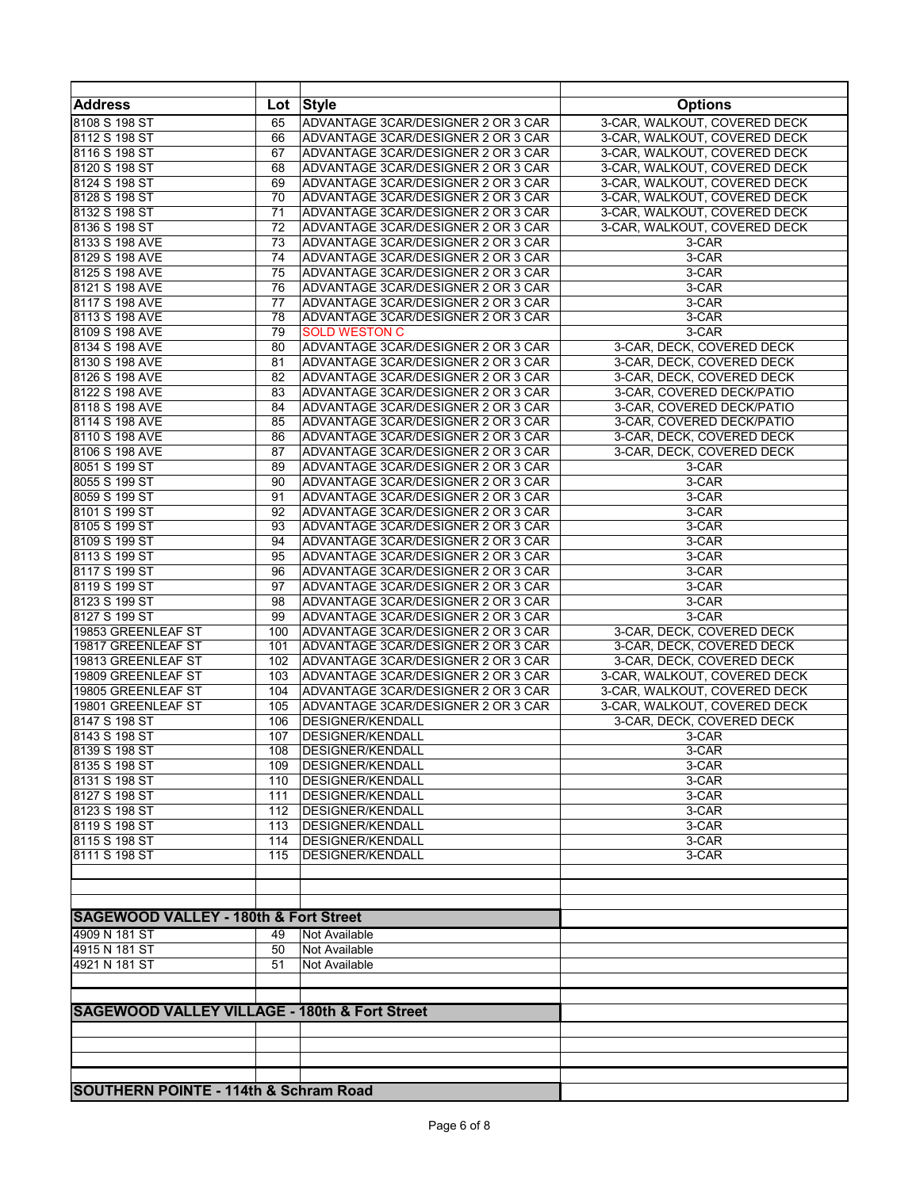| <b>Address</b>                                           | Lot      | <b>Style</b>                                                             | <b>Options</b>               |
|----------------------------------------------------------|----------|--------------------------------------------------------------------------|------------------------------|
| 8108 S 198 ST                                            | 65       | ADVANTAGE 3CAR/DESIGNER 2 OR 3 CAR                                       | 3-CAR, WALKOUT, COVERED DECK |
| 8112 S 198 ST                                            | 66       | ADVANTAGE 3CAR/DESIGNER 2 OR 3 CAR                                       | 3-CAR, WALKOUT, COVERED DECK |
| 8116 S 198 ST                                            | 67       | ADVANTAGE 3CAR/DESIGNER 2 OR 3 CAR                                       | 3-CAR, WALKOUT, COVERED DECK |
| 8120 S 198 ST                                            | 68       | ADVANTAGE 3CAR/DESIGNER 2 OR 3 CAR                                       | 3-CAR, WALKOUT, COVERED DECK |
| 8124 S 198 ST                                            | 69       | ADVANTAGE 3CAR/DESIGNER 2 OR 3 CAR                                       | 3-CAR, WALKOUT, COVERED DECK |
| 8128 S 198 ST                                            | 70       | ADVANTAGE 3CAR/DESIGNER 2 OR 3 CAR                                       | 3-CAR, WALKOUT, COVERED DECK |
| 8132 S 198 ST                                            | 71       | ADVANTAGE 3CAR/DESIGNER 2 OR 3 CAR                                       | 3-CAR, WALKOUT, COVERED DECK |
| 8136 S 198 ST                                            | 72       | ADVANTAGE 3CAR/DESIGNER 2 OR 3 CAR                                       | 3-CAR, WALKOUT, COVERED DECK |
| 8133 S 198 AVE                                           | 73       | ADVANTAGE 3CAR/DESIGNER 2 OR 3 CAR                                       | 3-CAR                        |
| 8129 S 198 AVE                                           | 74       | ADVANTAGE 3CAR/DESIGNER 2 OR 3 CAR                                       | $3-CAR$                      |
| 8125 S 198 AVE                                           | 75       | ADVANTAGE 3CAR/DESIGNER 2 OR 3 CAR                                       | 3-CAR                        |
| 8121 S 198 AVE                                           | 76       | ADVANTAGE 3CAR/DESIGNER 2 OR 3 CAR                                       | 3-CAR                        |
| 8117 S 198 AVE                                           | 77       | ADVANTAGE 3CAR/DESIGNER 2 OR 3 CAR                                       | 3-CAR                        |
| 8113 S 198 AVE                                           | 78       | ADVANTAGE 3CAR/DESIGNER 2 OR 3 CAR                                       | 3-CAR                        |
| 8109 S 198 AVE                                           | 79       | <b>SOLD WESTON C</b>                                                     | 3-CAR                        |
| 8134 S 198 AVE                                           | 80       | ADVANTAGE 3CAR/DESIGNER 2 OR 3 CAR                                       | 3-CAR, DECK, COVERED DECK    |
| 8130 S 198 AVE                                           | 81       | ADVANTAGE 3CAR/DESIGNER 2 OR 3 CAR                                       | 3-CAR, DECK, COVERED DECK    |
| 8126 S 198 AVE                                           | 82       | ADVANTAGE 3CAR/DESIGNER 2 OR 3 CAR                                       | 3-CAR, DECK, COVERED DECK    |
| 8122 S 198 AVE                                           | 83       | ADVANTAGE 3CAR/DESIGNER 2 OR 3 CAR                                       | 3-CAR, COVERED DECK/PATIO    |
| 8118 S 198 AVE                                           | 84       | ADVANTAGE 3CAR/DESIGNER 2 OR 3 CAR                                       | 3-CAR, COVERED DECK/PATIO    |
| 8114 S 198 AVE<br>8110 S 198 AVE                         | 85       | ADVANTAGE 3CAR/DESIGNER 2 OR 3 CAR<br>ADVANTAGE 3CAR/DESIGNER 2 OR 3 CAR | 3-CAR, COVERED DECK/PATIO    |
|                                                          | 86       |                                                                          | 3-CAR, DECK, COVERED DECK    |
| 8106 S 198 AVE                                           | 87       | ADVANTAGE 3CAR/DESIGNER 2 OR 3 CAR                                       | 3-CAR, DECK, COVERED DECK    |
| 8051 S 199 ST<br>8055 S 199 ST                           | 89       | ADVANTAGE 3CAR/DESIGNER 2 OR 3 CAR<br>ADVANTAGE 3CAR/DESIGNER 2 OR 3 CAR | 3-CAR                        |
| 8059 S 199 ST                                            | 90       | ADVANTAGE 3CAR/DESIGNER 2 OR 3 CAR                                       | 3-CAR                        |
| 8101 S 199 ST                                            | 91       | ADVANTAGE 3CAR/DESIGNER 2 OR 3 CAR                                       | 3-CAR<br>3-CAR               |
| 8105 S 199 ST                                            | 92<br>93 | ADVANTAGE 3CAR/DESIGNER 2 OR 3 CAR                                       | 3-CAR                        |
| 8109 S 199 ST                                            | 94       | ADVANTAGE 3CAR/DESIGNER 2 OR 3 CAR                                       | 3-CAR                        |
| 8113 S 199 ST                                            | 95       | ADVANTAGE 3CAR/DESIGNER 2 OR 3 CAR                                       | 3-CAR                        |
| 8117 S 199 ST                                            | 96       | ADVANTAGE 3CAR/DESIGNER 2 OR 3 CAR                                       | 3-CAR                        |
| 8119 S 199 ST                                            | 97       | ADVANTAGE 3CAR/DESIGNER 2 OR 3 CAR                                       | 3-CAR                        |
| 8123 S 199 ST                                            | 98       | ADVANTAGE 3CAR/DESIGNER 2 OR 3 CAR                                       | 3-CAR                        |
| 8127 S 199 ST                                            | 99       | ADVANTAGE 3CAR/DESIGNER 2 OR 3 CAR                                       | 3-CAR                        |
| 19853 GREENLEAF ST                                       | 100      | ADVANTAGE 3CAR/DESIGNER 2 OR 3 CAR                                       | 3-CAR, DECK, COVERED DECK    |
| 19817 GREENLEAF ST                                       | 101      | ADVANTAGE 3CAR/DESIGNER 2 OR 3 CAR                                       | 3-CAR, DECK, COVERED DECK    |
| 19813 GREENLEAF ST                                       | 102      | ADVANTAGE 3CAR/DESIGNER 2 OR 3 CAR                                       | 3-CAR, DECK, COVERED DECK    |
| 19809 GREENLEAF ST                                       | 103      | ADVANTAGE 3CAR/DESIGNER 2 OR 3 CAR                                       | 3-CAR, WALKOUT, COVERED DECK |
| 19805 GREENLEAF ST                                       | 104      | ADVANTAGE 3CAR/DESIGNER 2 OR 3 CAR                                       | 3-CAR, WALKOUT, COVERED DECK |
| 19801 GREENLEAF ST                                       | 105      | ADVANTAGE 3CAR/DESIGNER 2 OR 3 CAR                                       | 3-CAR, WALKOUT, COVERED DECK |
| 8147 S 198 ST                                            | 106      | <b>DESIGNER/KENDALL</b>                                                  | 3-CAR, DECK, COVERED DECK    |
| 8143 S 198 ST                                            | 107      | DESIGNER/KENDALL                                                         | 3-CAR                        |
| 8139 S 198 ST                                            | 108      | <b>DESIGNER/KENDALL</b>                                                  | 3-CAR                        |
| 8135 S 198 ST                                            | 109      | <b>DESIGNER/KENDALL</b>                                                  | 3-CAR                        |
| 8131 S 198 ST                                            | 110      | <b>DESIGNER/KENDALL</b>                                                  | 3-CAR                        |
| 8127 S 198 ST                                            | 111      | <b>DESIGNER/KENDALL</b>                                                  | 3-CAR                        |
| 8123 S 198 ST                                            | 112      | DESIGNER/KENDALL                                                         | 3-CAR                        |
| 8119 S 198 ST                                            | 113      | <b>DESIGNER/KENDALL</b>                                                  | 3-CAR                        |
| 8115 S 198 ST                                            | 114      | <b>DESIGNER/KENDALL</b>                                                  | 3-CAR                        |
| 8111 S 198 ST                                            | 115      | <b>DESIGNER/KENDALL</b>                                                  | 3-CAR                        |
|                                                          |          |                                                                          |                              |
|                                                          |          |                                                                          |                              |
|                                                          |          |                                                                          |                              |
| <b>SAGEWOOD VALLEY - 180th &amp; Fort Street</b>         |          |                                                                          |                              |
| 4909 N 181 ST                                            | 49       | Not Available                                                            |                              |
| 4915 N 181 ST                                            | 50       | Not Available                                                            |                              |
| 4921 N 181 ST                                            | 51       | Not Available                                                            |                              |
|                                                          |          |                                                                          |                              |
|                                                          |          |                                                                          |                              |
| <b>SAGEWOOD VALLEY VILLAGE - 180th &amp; Fort Street</b> |          |                                                                          |                              |
|                                                          |          |                                                                          |                              |
|                                                          |          |                                                                          |                              |
|                                                          |          |                                                                          |                              |
|                                                          |          |                                                                          |                              |
| <b>SOUTHERN POINTE - 114th &amp; Schram Road</b>         |          |                                                                          |                              |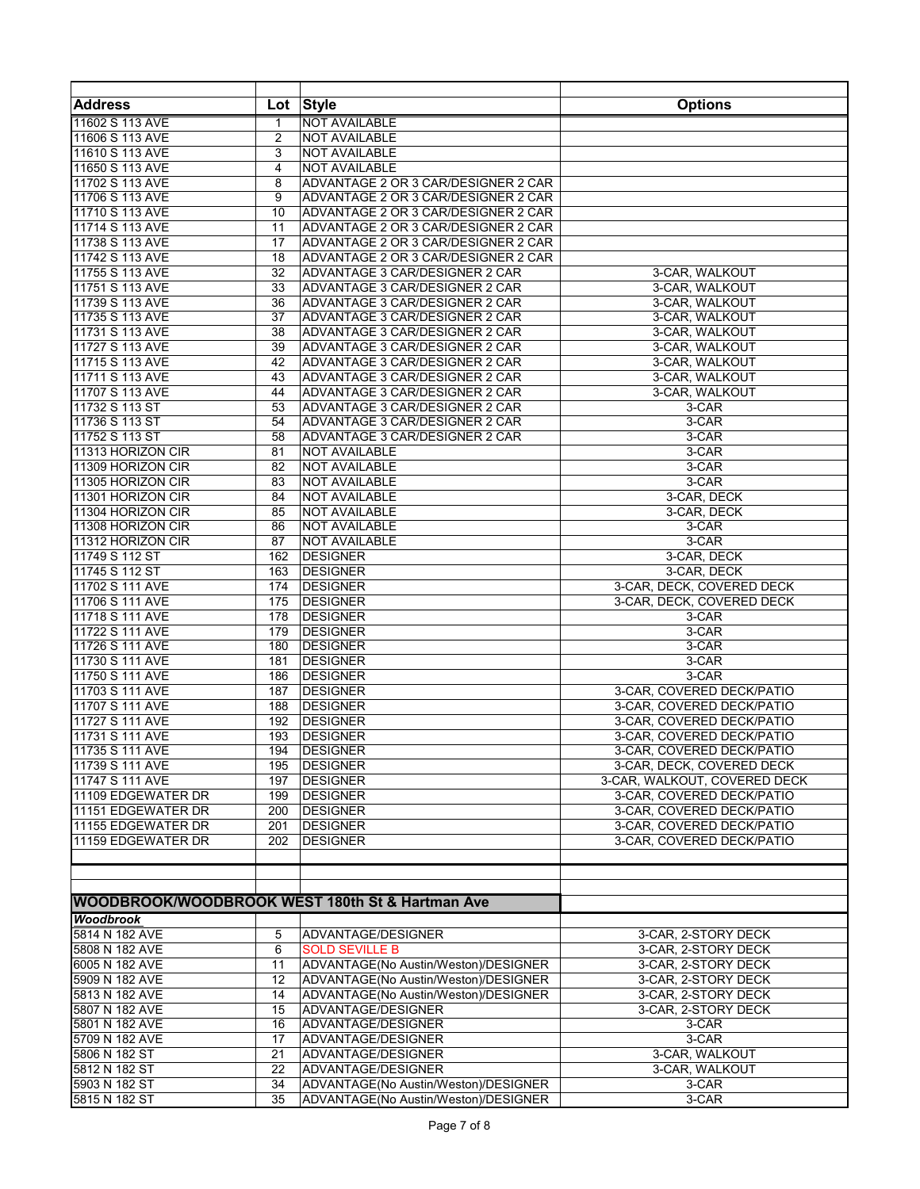| <b>Address</b>              | Lot          | <b>Style</b>                                    | <b>Options</b>               |
|-----------------------------|--------------|-------------------------------------------------|------------------------------|
| 11602 S 113 AVE             | $\mathbf{1}$ | <b>NOT AVAILABLE</b>                            |                              |
| 11606 S 113 AVE             | 2            | NOT AVAILABLE                                   |                              |
| 11610 S 113 AVE             | 3            | NOT AVAILABLE                                   |                              |
| 11650 S 113 AVE             | 4            | <b>NOT AVAILABLE</b>                            |                              |
| 11702 S 113 AVE             | 8            | ADVANTAGE 2 OR 3 CAR/DESIGNER 2 CAR             |                              |
| 11706 S 113 AVE             | 9            | ADVANTAGE 2 OR 3 CAR/DESIGNER 2 CAR             |                              |
| 11710 S 113 AVE             | 10           | ADVANTAGE 2 OR 3 CAR/DESIGNER 2 CAR             |                              |
| 11714 S 113 AVE             | 11           | ADVANTAGE 2 OR 3 CAR/DESIGNER 2 CAR             |                              |
| 11738 S 113 AVE             | 17           | ADVANTAGE 2 OR 3 CAR/DESIGNER 2 CAR             |                              |
| 11742 S 113 AVE             | 18           | ADVANTAGE 2 OR 3 CAR/DESIGNER 2 CAR             |                              |
| 11755 S 113 AVE             | 32           | ADVANTAGE 3 CAR/DESIGNER 2 CAR                  | 3-CAR, WALKOUT               |
| 11751 S 113 AVE             | 33           | ADVANTAGE 3 CAR/DESIGNER 2 CAR                  | 3-CAR, WALKOUT               |
| 11739 S 113 AVE             | 36           | ADVANTAGE 3 CAR/DESIGNER 2 CAR                  | 3-CAR, WALKOUT               |
| 11735 S 113 AVE             | 37           | ADVANTAGE 3 CAR/DESIGNER 2 CAR                  | 3-CAR, WALKOUT               |
| 11731 S 113 AVE             | 38           | ADVANTAGE 3 CAR/DESIGNER 2 CAR                  | 3-CAR, WALKOUT               |
| 11727 S 113 AVE             | 39           | ADVANTAGE 3 CAR/DESIGNER 2 CAR                  | 3-CAR, WALKOUT               |
| 11715 S 113 AVE             | 42           | ADVANTAGE 3 CAR/DESIGNER 2 CAR                  | 3-CAR, WALKOUT               |
| 11711 S 113 AVE             | 43           | ADVANTAGE 3 CAR/DESIGNER 2 CAR                  | 3-CAR, WALKOUT               |
| 11707 S 113 AVE             | 44           | ADVANTAGE 3 CAR/DESIGNER 2 CAR                  | 3-CAR, WALKOUT               |
| 11732 S 113 ST              | 53           | ADVANTAGE 3 CAR/DESIGNER 2 CAR                  | 3-CAR                        |
| 11736 S 113 ST              | 54           | ADVANTAGE 3 CAR/DESIGNER 2 CAR                  | $3-CAR$                      |
| 11752 S 113 ST              | 58           | ADVANTAGE 3 CAR/DESIGNER 2 CAR                  | 3-CAR                        |
| 11313 HORIZON CIR           | 81           | <b>NOT AVAILABLE</b>                            | 3-CAR                        |
| 11309 HORIZON CIR           | 82           | <b>NOT AVAILABLE</b>                            | 3-CAR                        |
| 11305 HORIZON CIR           | 83           | <b>NOT AVAILABLE</b>                            | 3-CAR                        |
| 11301 HORIZON CIR           | 84           | <b>NOT AVAILABLE</b>                            | 3-CAR, DECK                  |
| 11304 HORIZON CIR           | 85           | <b>NOT AVAILABLE</b>                            | 3-CAR, DECK                  |
| 11308 HORIZON CIR           | 86           | <b>NOT AVAILABLE</b>                            | 3-CAR                        |
| 11312 HORIZON CIR           | 87           | NOT AVAILABLE                                   | 3-CAR                        |
| 11749 S 112 ST              | 162          | <b>DESIGNER</b>                                 | 3-CAR, DECK                  |
| 11745 S 112 ST              | 163          | <b>DESIGNER</b>                                 | 3-CAR, DECK                  |
| 11702 S 111 AVE             | 174          | <b>DESIGNER</b>                                 | 3-CAR, DECK, COVERED DECK    |
| 11706 S 111 AVE             | 175          | <b>DESIGNER</b>                                 | 3-CAR, DECK, COVERED DECK    |
| 11718 S 111 AVE             | 178          | <b>DESIGNER</b>                                 |                              |
| 11722 S 111 AVE             | 179          |                                                 | 3-CAR<br>3-CAR               |
| 11726 S 111 AVE             |              | <b>DESIGNER</b>                                 |                              |
|                             | 180          | <b>DESIGNER</b>                                 | 3-CAR                        |
| 11730 S 111 AVE             | 181          | <b>DESIGNER</b>                                 | 3-CAR                        |
| 11750 S 111 AVE             | 186          | <b>DESIGNER</b>                                 | 3-CAR                        |
| 11703 S 111 AVE             | 187          | <b>DESIGNER</b>                                 | 3-CAR, COVERED DECK/PATIO    |
| 11707 S 111 AVE             | 188          | <b>DESIGNER</b>                                 | 3-CAR, COVERED DECK/PATIO    |
| 11727 S 111 AVE             | 192          | <b>DESIGNER</b>                                 | 3-CAR, COVERED DECK/PATIO    |
| 11731 S 111 AVE             | 193          | <b>DESIGNER</b>                                 | 3-CAR, COVERED DECK/PATIO    |
| 11735 S 111 AVE             | 194          | <b>DESIGNER</b>                                 | 3-CAR, COVERED DECK/PATIO    |
| 11739 S 111 AVE             | 195          | <b>DESIGNER</b>                                 | 3-CAR, DECK, COVERED DECK    |
| 11747 S 111 AVE             | 197          | <b>DESIGNER</b>                                 | 3-CAR, WALKOUT, COVERED DECK |
| 11109 EDGEWATER DR          | 199          | <b>DESIGNER</b>                                 | 3-CAR, COVERED DECK/PATIO    |
| 11151 EDGEWATER DR          | 200          | <b>DESIGNER</b>                                 | 3-CAR, COVERED DECK/PATIO    |
| 11155 EDGEWATER DR          | 201          | <b>DESIGNER</b>                                 | 3-CAR, COVERED DECK/PATIO    |
| 11159 EDGEWATER DR          | 202          | <b>DESIGNER</b>                                 | 3-CAR, COVERED DECK/PATIO    |
|                             |              |                                                 |                              |
|                             |              |                                                 |                              |
|                             |              | WOODBROOK/WOODBROOK WEST 180th St & Hartman Ave |                              |
| Woodbrook<br>5814 N 182 AVE |              |                                                 |                              |
|                             | 5            | ADVANTAGE/DESIGNER                              | 3-CAR, 2-STORY DECK          |
| 5808 N 182 AVE              | 6            | <b>SOLD SEVILLE B</b>                           | 3-CAR, 2-STORY DECK          |
| 6005 N 182 AVE              | 11           | ADVANTAGE(No Austin/Weston)/DESIGNER            | 3-CAR, 2-STORY DECK          |
| 5909 N 182 AVE              | 12           | ADVANTAGE(No Austin/Weston)/DESIGNER            | 3-CAR, 2-STORY DECK          |
| 5813 N 182 AVE              | 14           | ADVANTAGE(No Austin/Weston)/DESIGNER            | 3-CAR, 2-STORY DECK          |
| 5807 N 182 AVE              | 15           | ADVANTAGE/DESIGNER                              | 3-CAR, 2-STORY DECK          |
| 5801 N 182 AVE              | 16           | ADVANTAGE/DESIGNER                              | 3-CAR                        |
| 5709 N 182 AVE              | 17           | ADVANTAGE/DESIGNER                              | 3-CAR                        |
| 5806 N 182 ST               | 21           | ADVANTAGE/DESIGNER                              | 3-CAR, WALKOUT               |
| 5812 N 182 ST               | 22           | ADVANTAGE/DESIGNER                              | 3-CAR, WALKOUT               |
| 5903 N 182 ST               | 34           | ADVANTAGE(No Austin/Weston)/DESIGNER            | 3-CAR                        |
| 5815 N 182 ST               | 35           | ADVANTAGE(No Austin/Weston)/DESIGNER            | 3-CAR                        |